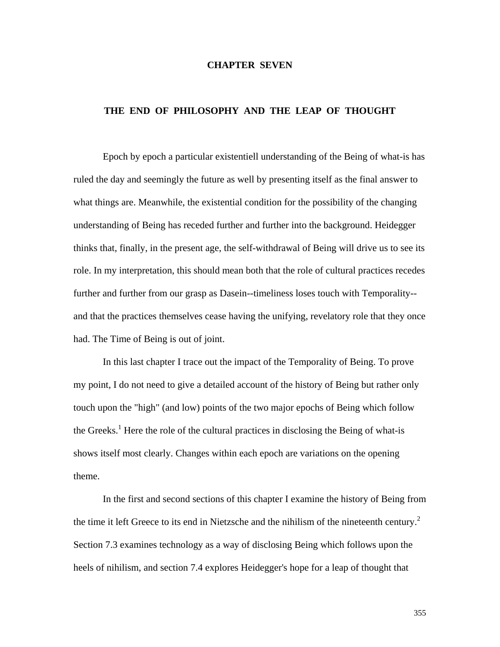### **CHAPTER SEVEN**

#### **THE END OF PHILOSOPHY AND THE LEAP OF THOUGHT**

 Epoch by epoch a particular existentiell understanding of the Being of what-is has ruled the day and seemingly the future as well by presenting itself as the final answer to what things are. Meanwhile, the existential condition for the possibility of the changing understanding of Being has receded further and further into the background. Heidegger thinks that, finally, in the present age, the self-withdrawal of Being will drive us to see its role. In my interpretation, this should mean both that the role of cultural practices recedes further and further from our grasp as Dasein--timeliness loses touch with Temporality- and that the practices themselves cease having the unifying, revelatory role that they once had. The Time of Being is out of joint.

 In this last chapter I trace out the impact of the Temporality of Being. To prove my point, I do not need to give a detailed account of the history of Being but rather only touch upon the "high" (and low) points of the two major epochs of Being which follow the Greeks.<sup>1</sup> Here the role of the cultural practices in disclosing the Being of what-is shows itself most clearly. Changes within each epoch are variations on the opening theme.

 In the first and second sections of this chapter I examine the history of Being from the time it left Greece to its end in Nietzsche and the nihilism of the nineteenth century.<sup>2</sup> Section 7.3 examines technology as a way of disclosing Being which follows upon the heels of nihilism, and section 7.4 explores Heidegger's hope for a leap of thought that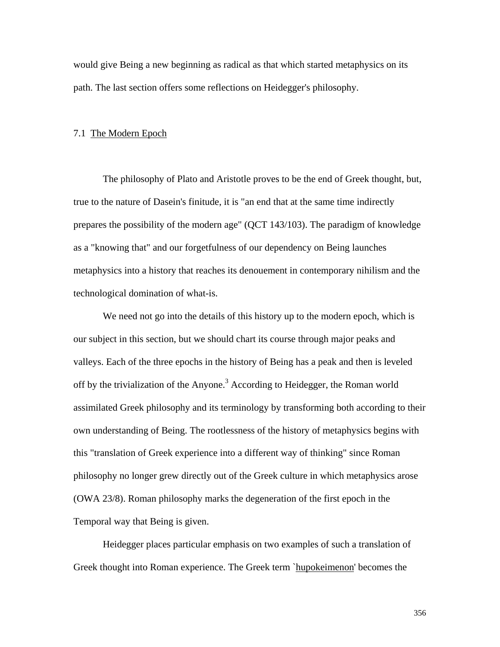would give Being a new beginning as radical as that which started metaphysics on its path. The last section offers some reflections on Heidegger's philosophy.

#### 7.1 The Modern Epoch

 The philosophy of Plato and Aristotle proves to be the end of Greek thought, but, true to the nature of Dasein's finitude, it is "an end that at the same time indirectly prepares the possibility of the modern age" (QCT 143/103). The paradigm of knowledge as a "knowing that" and our forgetfulness of our dependency on Being launches metaphysics into a history that reaches its denouement in contemporary nihilism and the technological domination of what-is.

 We need not go into the details of this history up to the modern epoch, which is our subject in this section, but we should chart its course through major peaks and valleys. Each of the three epochs in the history of Being has a peak and then is leveled off by the trivialization of the Anyone.<sup>3</sup> According to Heidegger, the Roman world assimilated Greek philosophy and its terminology by transforming both according to their own understanding of Being. The rootlessness of the history of metaphysics begins with this "translation of Greek experience into a different way of thinking" since Roman philosophy no longer grew directly out of the Greek culture in which metaphysics arose (OWA 23/8). Roman philosophy marks the degeneration of the first epoch in the Temporal way that Being is given.

 Heidegger places particular emphasis on two examples of such a translation of Greek thought into Roman experience. The Greek term `hupokeimenon' becomes the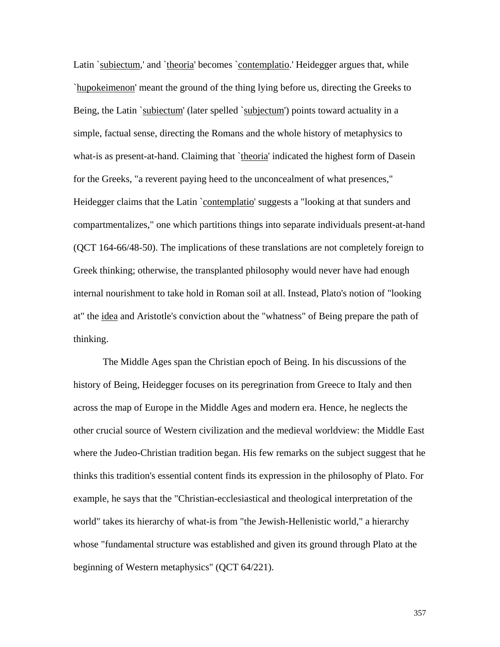Latin `subiectum,' and `theoria' becomes `contemplatio.' Heidegger argues that, while `hupokeimenon' meant the ground of the thing lying before us, directing the Greeks to Being, the Latin `subiectum' (later spelled `subjectum') points toward actuality in a simple, factual sense, directing the Romans and the whole history of metaphysics to what-is as present-at-hand. Claiming that `theoria' indicated the highest form of Dasein for the Greeks, "a reverent paying heed to the unconcealment of what presences," Heidegger claims that the Latin `contemplatio' suggests a "looking at that sunders and compartmentalizes," one which partitions things into separate individuals present-at-hand (QCT 164-66/48-50). The implications of these translations are not completely foreign to Greek thinking; otherwise, the transplanted philosophy would never have had enough internal nourishment to take hold in Roman soil at all. Instead, Plato's notion of "looking at" the idea and Aristotle's conviction about the "whatness" of Being prepare the path of thinking.

 The Middle Ages span the Christian epoch of Being. In his discussions of the history of Being, Heidegger focuses on its peregrination from Greece to Italy and then across the map of Europe in the Middle Ages and modern era. Hence, he neglects the other crucial source of Western civilization and the medieval worldview: the Middle East where the Judeo-Christian tradition began. His few remarks on the subject suggest that he thinks this tradition's essential content finds its expression in the philosophy of Plato. For example, he says that the "Christian-ecclesiastical and theological interpretation of the world" takes its hierarchy of what-is from "the Jewish-Hellenistic world," a hierarchy whose "fundamental structure was established and given its ground through Plato at the beginning of Western metaphysics" (QCT 64/221).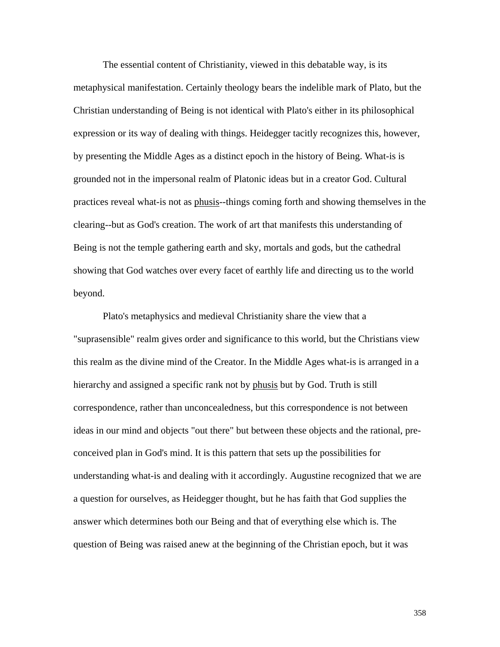The essential content of Christianity, viewed in this debatable way, is its metaphysical manifestation. Certainly theology bears the indelible mark of Plato, but the Christian understanding of Being is not identical with Plato's either in its philosophical expression or its way of dealing with things. Heidegger tacitly recognizes this, however, by presenting the Middle Ages as a distinct epoch in the history of Being. What-is is grounded not in the impersonal realm of Platonic ideas but in a creator God. Cultural practices reveal what-is not as phusis--things coming forth and showing themselves in the clearing--but as God's creation. The work of art that manifests this understanding of Being is not the temple gathering earth and sky, mortals and gods, but the cathedral showing that God watches over every facet of earthly life and directing us to the world beyond.

 Plato's metaphysics and medieval Christianity share the view that a "suprasensible" realm gives order and significance to this world, but the Christians view this realm as the divine mind of the Creator. In the Middle Ages what-is is arranged in a hierarchy and assigned a specific rank not by phusis but by God. Truth is still correspondence, rather than unconcealedness, but this correspondence is not between ideas in our mind and objects "out there" but between these objects and the rational, preconceived plan in God's mind. It is this pattern that sets up the possibilities for understanding what-is and dealing with it accordingly. Augustine recognized that we are a question for ourselves, as Heidegger thought, but he has faith that God supplies the answer which determines both our Being and that of everything else which is. The question of Being was raised anew at the beginning of the Christian epoch, but it was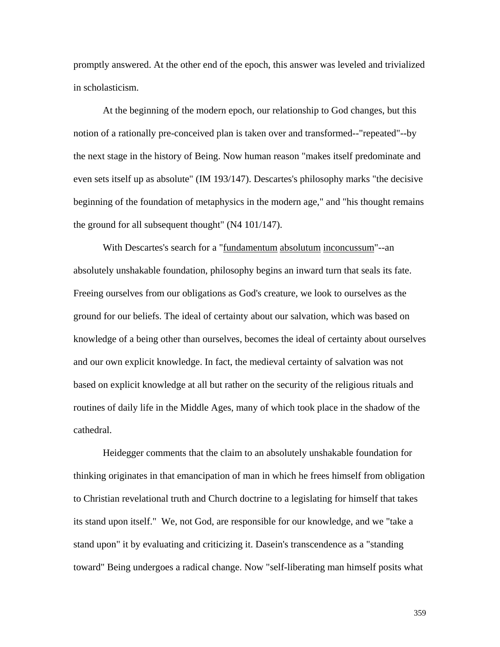promptly answered. At the other end of the epoch, this answer was leveled and trivialized in scholasticism.

 At the beginning of the modern epoch, our relationship to God changes, but this notion of a rationally pre-conceived plan is taken over and transformed--"repeated"--by the next stage in the history of Being. Now human reason "makes itself predominate and even sets itself up as absolute" (IM 193/147). Descartes's philosophy marks "the decisive beginning of the foundation of metaphysics in the modern age," and "his thought remains the ground for all subsequent thought" (N4 101/147).

 With Descartes's search for a "fundamentum absolutum inconcussum"--an absolutely unshakable foundation, philosophy begins an inward turn that seals its fate. Freeing ourselves from our obligations as God's creature, we look to ourselves as the ground for our beliefs. The ideal of certainty about our salvation, which was based on knowledge of a being other than ourselves, becomes the ideal of certainty about ourselves and our own explicit knowledge. In fact, the medieval certainty of salvation was not based on explicit knowledge at all but rather on the security of the religious rituals and routines of daily life in the Middle Ages, many of which took place in the shadow of the cathedral.

 Heidegger comments that the claim to an absolutely unshakable foundation for thinking originates in that emancipation of man in which he frees himself from obligation to Christian revelational truth and Church doctrine to a legislating for himself that takes its stand upon itself." We, not God, are responsible for our knowledge, and we "take a stand upon" it by evaluating and criticizing it. Dasein's transcendence as a "standing toward" Being undergoes a radical change. Now "self-liberating man himself posits what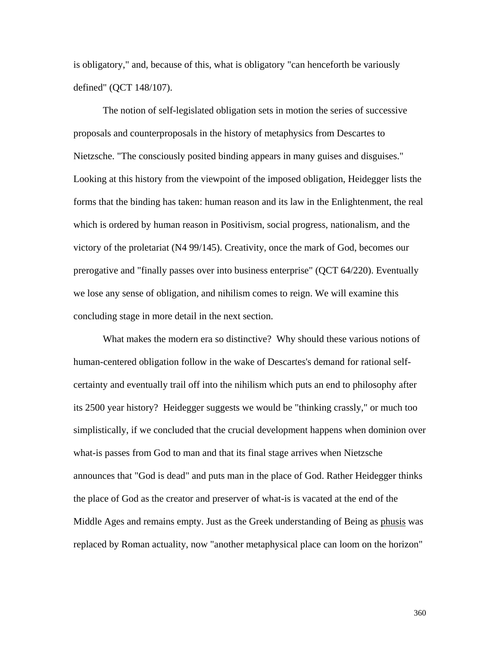is obligatory," and, because of this, what is obligatory "can henceforth be variously defined" (QCT 148/107).

 The notion of self-legislated obligation sets in motion the series of successive proposals and counterproposals in the history of metaphysics from Descartes to Nietzsche. "The consciously posited binding appears in many guises and disguises." Looking at this history from the viewpoint of the imposed obligation, Heidegger lists the forms that the binding has taken: human reason and its law in the Enlightenment, the real which is ordered by human reason in Positivism, social progress, nationalism, and the victory of the proletariat (N4 99/145). Creativity, once the mark of God, becomes our prerogative and "finally passes over into business enterprise" (QCT 64/220). Eventually we lose any sense of obligation, and nihilism comes to reign. We will examine this concluding stage in more detail in the next section.

 What makes the modern era so distinctive? Why should these various notions of human-centered obligation follow in the wake of Descartes's demand for rational selfcertainty and eventually trail off into the nihilism which puts an end to philosophy after its 2500 year history? Heidegger suggests we would be "thinking crassly," or much too simplistically, if we concluded that the crucial development happens when dominion over what-is passes from God to man and that its final stage arrives when Nietzsche announces that "God is dead" and puts man in the place of God. Rather Heidegger thinks the place of God as the creator and preserver of what-is is vacated at the end of the Middle Ages and remains empty. Just as the Greek understanding of Being as phusis was replaced by Roman actuality, now "another metaphysical place can loom on the horizon"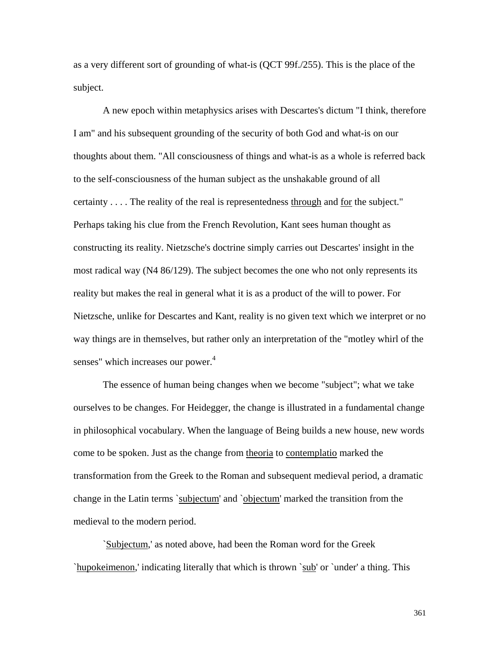as a very different sort of grounding of what-is (QCT 99f./255). This is the place of the subject.

 A new epoch within metaphysics arises with Descartes's dictum "I think, therefore I am" and his subsequent grounding of the security of both God and what-is on our thoughts about them. "All consciousness of things and what-is as a whole is referred back to the self-consciousness of the human subject as the unshakable ground of all certainty . . . . The reality of the real is representedness through and for the subject." Perhaps taking his clue from the French Revolution, Kant sees human thought as constructing its reality. Nietzsche's doctrine simply carries out Descartes' insight in the most radical way (N4 86/129). The subject becomes the one who not only represents its reality but makes the real in general what it is as a product of the will to power. For Nietzsche, unlike for Descartes and Kant, reality is no given text which we interpret or no way things are in themselves, but rather only an interpretation of the "motley whirl of the senses" which increases our power.<sup>4</sup>

 The essence of human being changes when we become "subject"; what we take ourselves to be changes. For Heidegger, the change is illustrated in a fundamental change in philosophical vocabulary. When the language of Being builds a new house, new words come to be spoken. Just as the change from theoria to contemplatio marked the transformation from the Greek to the Roman and subsequent medieval period, a dramatic change in the Latin terms `subjectum' and `objectum' marked the transition from the medieval to the modern period.

 `Subjectum,' as noted above, had been the Roman word for the Greek `hupokeimenon,' indicating literally that which is thrown `sub' or `under' a thing. This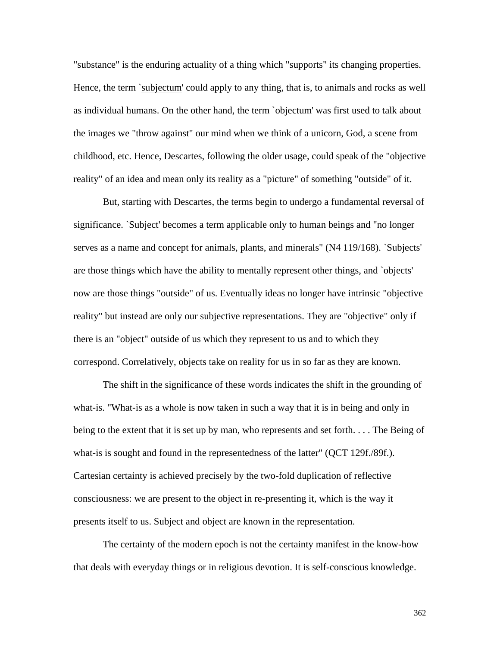"substance" is the enduring actuality of a thing which "supports" its changing properties. Hence, the term `subjectum' could apply to any thing, that is, to animals and rocks as well as individual humans. On the other hand, the term `objectum' was first used to talk about the images we "throw against" our mind when we think of a unicorn, God, a scene from childhood, etc. Hence, Descartes, following the older usage, could speak of the "objective reality" of an idea and mean only its reality as a "picture" of something "outside" of it.

 But, starting with Descartes, the terms begin to undergo a fundamental reversal of significance. `Subject' becomes a term applicable only to human beings and "no longer serves as a name and concept for animals, plants, and minerals" (N4 119/168). `Subjects' are those things which have the ability to mentally represent other things, and `objects' now are those things "outside" of us. Eventually ideas no longer have intrinsic "objective reality" but instead are only our subjective representations. They are "objective" only if there is an "object" outside of us which they represent to us and to which they correspond. Correlatively, objects take on reality for us in so far as they are known.

 The shift in the significance of these words indicates the shift in the grounding of what-is. "What-is as a whole is now taken in such a way that it is in being and only in being to the extent that it is set up by man, who represents and set forth. . . . The Being of what-is is sought and found in the representedness of the latter" (QCT 129f./89f.). Cartesian certainty is achieved precisely by the two-fold duplication of reflective consciousness: we are present to the object in re-presenting it, which is the way it presents itself to us. Subject and object are known in the representation.

 The certainty of the modern epoch is not the certainty manifest in the know-how that deals with everyday things or in religious devotion. It is self-conscious knowledge.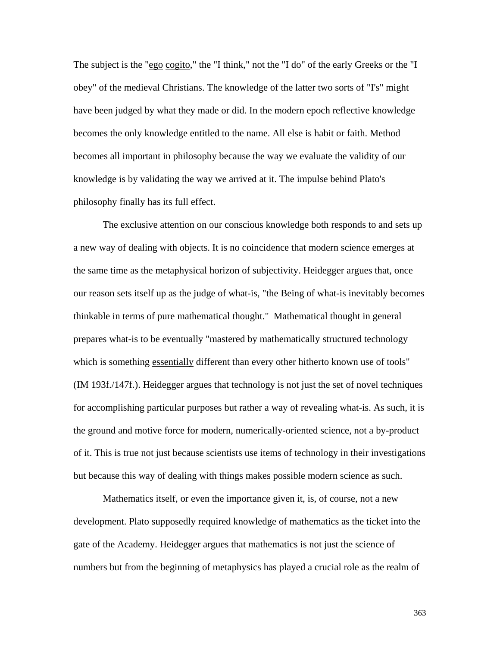The subject is the "ego cogito," the "I think," not the "I do" of the early Greeks or the "I obey" of the medieval Christians. The knowledge of the latter two sorts of "I's" might have been judged by what they made or did. In the modern epoch reflective knowledge becomes the only knowledge entitled to the name. All else is habit or faith. Method becomes all important in philosophy because the way we evaluate the validity of our knowledge is by validating the way we arrived at it. The impulse behind Plato's philosophy finally has its full effect.

 The exclusive attention on our conscious knowledge both responds to and sets up a new way of dealing with objects. It is no coincidence that modern science emerges at the same time as the metaphysical horizon of subjectivity. Heidegger argues that, once our reason sets itself up as the judge of what-is, "the Being of what-is inevitably becomes thinkable in terms of pure mathematical thought." Mathematical thought in general prepares what-is to be eventually "mastered by mathematically structured technology which is something essentially different than every other hitherto known use of tools" (IM 193f./147f.). Heidegger argues that technology is not just the set of novel techniques for accomplishing particular purposes but rather a way of revealing what-is. As such, it is the ground and motive force for modern, numerically-oriented science, not a by-product of it. This is true not just because scientists use items of technology in their investigations but because this way of dealing with things makes possible modern science as such.

 Mathematics itself, or even the importance given it, is, of course, not a new development. Plato supposedly required knowledge of mathematics as the ticket into the gate of the Academy. Heidegger argues that mathematics is not just the science of numbers but from the beginning of metaphysics has played a crucial role as the realm of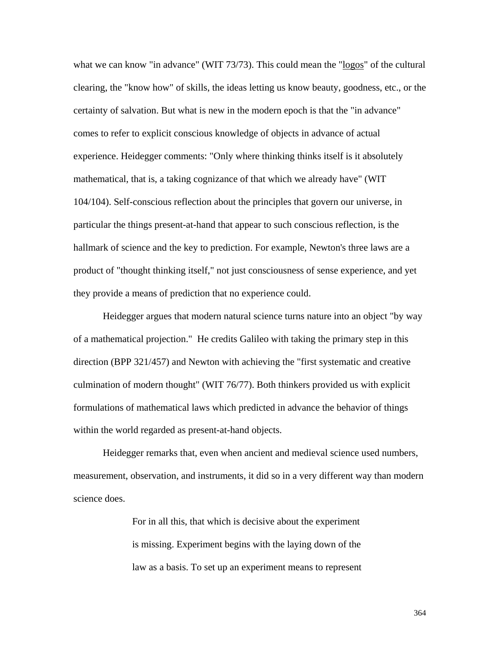what we can know "in advance" (WIT 73/73). This could mean the "logos" of the cultural clearing, the "know how" of skills, the ideas letting us know beauty, goodness, etc., or the certainty of salvation. But what is new in the modern epoch is that the "in advance" comes to refer to explicit conscious knowledge of objects in advance of actual experience. Heidegger comments: "Only where thinking thinks itself is it absolutely mathematical, that is, a taking cognizance of that which we already have" (WIT 104/104). Self-conscious reflection about the principles that govern our universe, in particular the things present-at-hand that appear to such conscious reflection, is the hallmark of science and the key to prediction. For example, Newton's three laws are a product of "thought thinking itself," not just consciousness of sense experience, and yet they provide a means of prediction that no experience could.

 Heidegger argues that modern natural science turns nature into an object "by way of a mathematical projection." He credits Galileo with taking the primary step in this direction (BPP 321/457) and Newton with achieving the "first systematic and creative culmination of modern thought" (WIT 76/77). Both thinkers provided us with explicit formulations of mathematical laws which predicted in advance the behavior of things within the world regarded as present-at-hand objects.

 Heidegger remarks that, even when ancient and medieval science used numbers, measurement, observation, and instruments, it did so in a very different way than modern science does.

> For in all this, that which is decisive about the experiment is missing. Experiment begins with the laying down of the law as a basis. To set up an experiment means to represent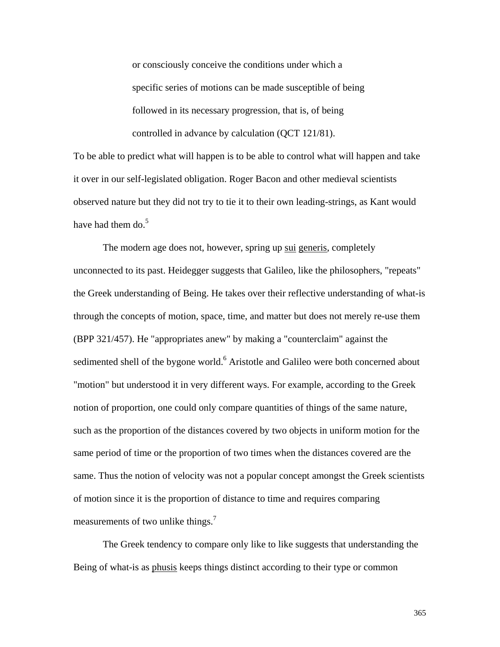or consciously conceive the conditions under which a specific series of motions can be made susceptible of being followed in its necessary progression, that is, of being controlled in advance by calculation (QCT 121/81).

To be able to predict what will happen is to be able to control what will happen and take it over in our self-legislated obligation. Roger Bacon and other medieval scientists observed nature but they did not try to tie it to their own leading-strings, as Kant would have had them do. $5$ 

 The modern age does not, however, spring up sui generis, completely unconnected to its past. Heidegger suggests that Galileo, like the philosophers, "repeats" the Greek understanding of Being. He takes over their reflective understanding of what-is through the concepts of motion, space, time, and matter but does not merely re-use them (BPP 321/457). He "appropriates anew" by making a "counterclaim" against the sedimented shell of the bygone world.<sup>6</sup> Aristotle and Galileo were both concerned about "motion" but understood it in very different ways. For example, according to the Greek notion of proportion, one could only compare quantities of things of the same nature, such as the proportion of the distances covered by two objects in uniform motion for the same period of time or the proportion of two times when the distances covered are the same. Thus the notion of velocity was not a popular concept amongst the Greek scientists of motion since it is the proportion of distance to time and requires comparing measurements of two unlike things.<sup>7</sup>

 The Greek tendency to compare only like to like suggests that understanding the Being of what-is as phusis keeps things distinct according to their type or common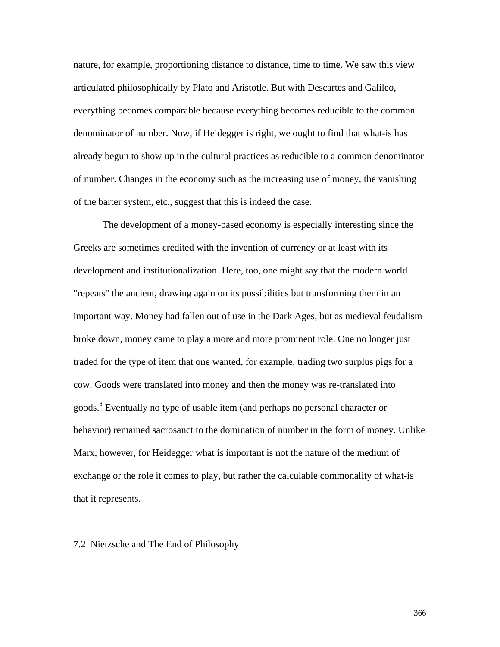nature, for example, proportioning distance to distance, time to time. We saw this view articulated philosophically by Plato and Aristotle. But with Descartes and Galileo, everything becomes comparable because everything becomes reducible to the common denominator of number. Now, if Heidegger is right, we ought to find that what-is has already begun to show up in the cultural practices as reducible to a common denominator of number. Changes in the economy such as the increasing use of money, the vanishing of the barter system, etc., suggest that this is indeed the case.

 The development of a money-based economy is especially interesting since the Greeks are sometimes credited with the invention of currency or at least with its development and institutionalization. Here, too, one might say that the modern world "repeats" the ancient, drawing again on its possibilities but transforming them in an important way. Money had fallen out of use in the Dark Ages, but as medieval feudalism broke down, money came to play a more and more prominent role. One no longer just traded for the type of item that one wanted, for example, trading two surplus pigs for a cow. Goods were translated into money and then the money was re-translated into goods.<sup>8</sup> Eventually no type of usable item (and perhaps no personal character or behavior) remained sacrosanct to the domination of number in the form of money. Unlike Marx, however, for Heidegger what is important is not the nature of the medium of exchange or the role it comes to play, but rather the calculable commonality of what-is that it represents.

### 7.2 Nietzsche and The End of Philosophy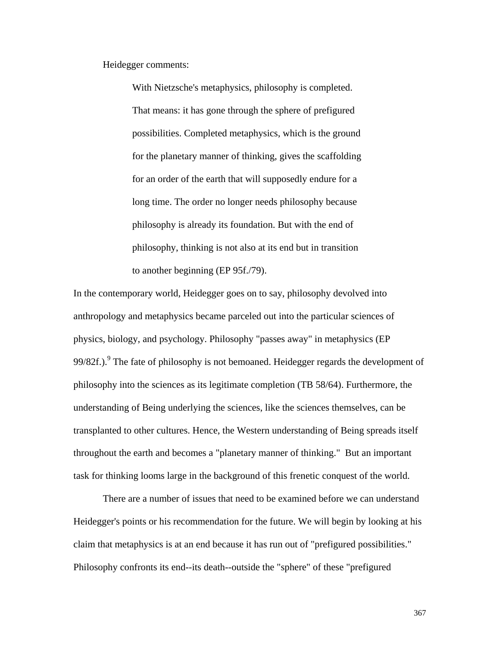Heidegger comments:

 With Nietzsche's metaphysics, philosophy is completed. That means: it has gone through the sphere of prefigured possibilities. Completed metaphysics, which is the ground for the planetary manner of thinking, gives the scaffolding for an order of the earth that will supposedly endure for a long time. The order no longer needs philosophy because philosophy is already its foundation. But with the end of philosophy, thinking is not also at its end but in transition to another beginning (EP 95f./79).

In the contemporary world, Heidegger goes on to say, philosophy devolved into anthropology and metaphysics became parceled out into the particular sciences of physics, biology, and psychology. Philosophy "passes away" in metaphysics (EP 99/82f.).<sup>9</sup> The fate of philosophy is not bemoaned. Heidegger regards the development of philosophy into the sciences as its legitimate completion (TB 58/64). Furthermore, the understanding of Being underlying the sciences, like the sciences themselves, can be transplanted to other cultures. Hence, the Western understanding of Being spreads itself throughout the earth and becomes a "planetary manner of thinking." But an important task for thinking looms large in the background of this frenetic conquest of the world.

 There are a number of issues that need to be examined before we can understand Heidegger's points or his recommendation for the future. We will begin by looking at his claim that metaphysics is at an end because it has run out of "prefigured possibilities." Philosophy confronts its end--its death--outside the "sphere" of these "prefigured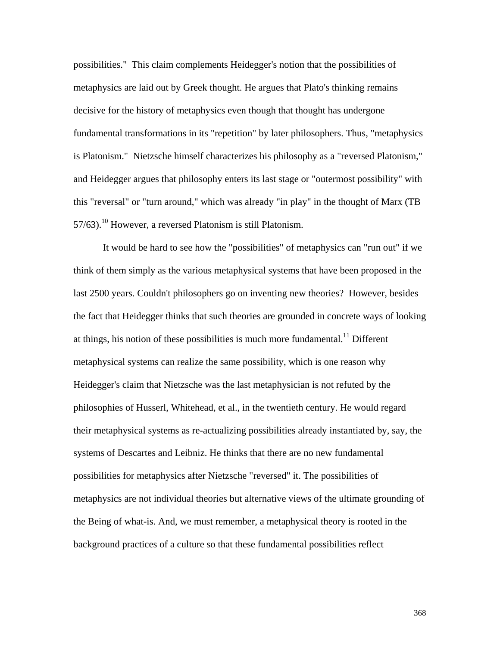possibilities." This claim complements Heidegger's notion that the possibilities of metaphysics are laid out by Greek thought. He argues that Plato's thinking remains decisive for the history of metaphysics even though that thought has undergone fundamental transformations in its "repetition" by later philosophers. Thus, "metaphysics is Platonism." Nietzsche himself characterizes his philosophy as a "reversed Platonism," and Heidegger argues that philosophy enters its last stage or "outermost possibility" with this "reversal" or "turn around," which was already "in play" in the thought of Marx (TB  $57/63$ .<sup>10</sup> However, a reversed Platonism is still Platonism.

 It would be hard to see how the "possibilities" of metaphysics can "run out" if we think of them simply as the various metaphysical systems that have been proposed in the last 2500 years. Couldn't philosophers go on inventing new theories? However, besides the fact that Heidegger thinks that such theories are grounded in concrete ways of looking at things, his notion of these possibilities is much more fundamental.<sup>11</sup> Different metaphysical systems can realize the same possibility, which is one reason why Heidegger's claim that Nietzsche was the last metaphysician is not refuted by the philosophies of Husserl, Whitehead, et al., in the twentieth century. He would regard their metaphysical systems as re-actualizing possibilities already instantiated by, say, the systems of Descartes and Leibniz. He thinks that there are no new fundamental possibilities for metaphysics after Nietzsche "reversed" it. The possibilities of metaphysics are not individual theories but alternative views of the ultimate grounding of the Being of what-is. And, we must remember, a metaphysical theory is rooted in the background practices of a culture so that these fundamental possibilities reflect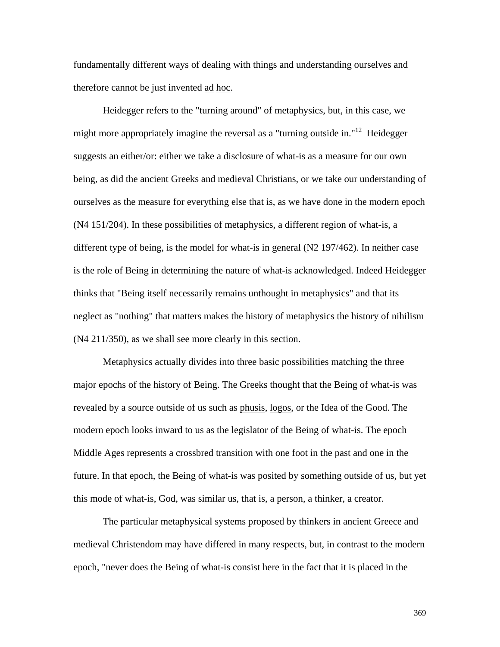fundamentally different ways of dealing with things and understanding ourselves and therefore cannot be just invented ad hoc.

 Heidegger refers to the "turning around" of metaphysics, but, in this case, we might more appropriately imagine the reversal as a "turning outside in."<sup>12</sup> Heidegger suggests an either/or: either we take a disclosure of what-is as a measure for our own being, as did the ancient Greeks and medieval Christians, or we take our understanding of ourselves as the measure for everything else that is, as we have done in the modern epoch (N4 151/204). In these possibilities of metaphysics, a different region of what-is, a different type of being, is the model for what-is in general (N2 197/462). In neither case is the role of Being in determining the nature of what-is acknowledged. Indeed Heidegger thinks that "Being itself necessarily remains unthought in metaphysics" and that its neglect as "nothing" that matters makes the history of metaphysics the history of nihilism (N4 211/350), as we shall see more clearly in this section.

 Metaphysics actually divides into three basic possibilities matching the three major epochs of the history of Being. The Greeks thought that the Being of what-is was revealed by a source outside of us such as phusis, logos, or the Idea of the Good. The modern epoch looks inward to us as the legislator of the Being of what-is. The epoch Middle Ages represents a crossbred transition with one foot in the past and one in the future. In that epoch, the Being of what-is was posited by something outside of us, but yet this mode of what-is, God, was similar us, that is, a person, a thinker, a creator.

 The particular metaphysical systems proposed by thinkers in ancient Greece and medieval Christendom may have differed in many respects, but, in contrast to the modern epoch, "never does the Being of what-is consist here in the fact that it is placed in the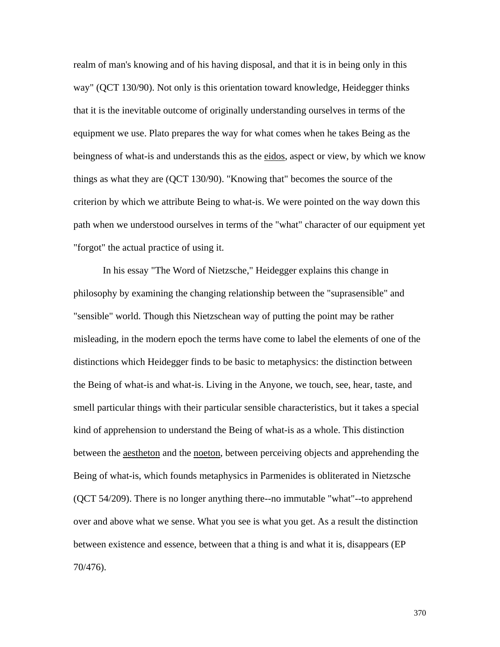realm of man's knowing and of his having disposal, and that it is in being only in this way" (QCT 130/90). Not only is this orientation toward knowledge, Heidegger thinks that it is the inevitable outcome of originally understanding ourselves in terms of the equipment we use. Plato prepares the way for what comes when he takes Being as the beingness of what-is and understands this as the eidos, aspect or view, by which we know things as what they are (QCT 130/90). "Knowing that" becomes the source of the criterion by which we attribute Being to what-is. We were pointed on the way down this path when we understood ourselves in terms of the "what" character of our equipment yet "forgot" the actual practice of using it.

 In his essay "The Word of Nietzsche," Heidegger explains this change in philosophy by examining the changing relationship between the "suprasensible" and "sensible" world. Though this Nietzschean way of putting the point may be rather misleading, in the modern epoch the terms have come to label the elements of one of the distinctions which Heidegger finds to be basic to metaphysics: the distinction between the Being of what-is and what-is. Living in the Anyone, we touch, see, hear, taste, and smell particular things with their particular sensible characteristics, but it takes a special kind of apprehension to understand the Being of what-is as a whole. This distinction between the **aestheton** and the noeton, between perceiving objects and apprehending the Being of what-is, which founds metaphysics in Parmenides is obliterated in Nietzsche (QCT 54/209). There is no longer anything there--no immutable "what"--to apprehend over and above what we sense. What you see is what you get. As a result the distinction between existence and essence, between that a thing is and what it is, disappears (EP 70/476).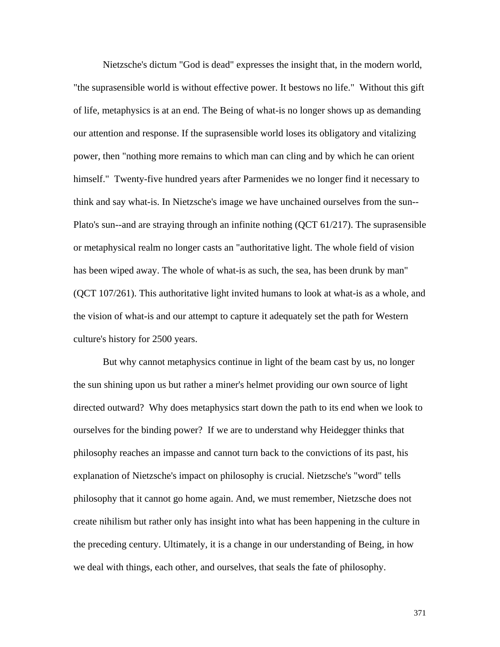Nietzsche's dictum "God is dead" expresses the insight that, in the modern world, "the suprasensible world is without effective power. It bestows no life." Without this gift of life, metaphysics is at an end. The Being of what-is no longer shows up as demanding our attention and response. If the suprasensible world loses its obligatory and vitalizing power, then "nothing more remains to which man can cling and by which he can orient himself." Twenty-five hundred years after Parmenides we no longer find it necessary to think and say what-is. In Nietzsche's image we have unchained ourselves from the sun-- Plato's sun--and are straying through an infinite nothing (QCT 61/217). The suprasensible or metaphysical realm no longer casts an "authoritative light. The whole field of vision has been wiped away. The whole of what-is as such, the sea, has been drunk by man" (QCT 107/261). This authoritative light invited humans to look at what-is as a whole, and the vision of what-is and our attempt to capture it adequately set the path for Western culture's history for 2500 years.

 But why cannot metaphysics continue in light of the beam cast by us, no longer the sun shining upon us but rather a miner's helmet providing our own source of light directed outward? Why does metaphysics start down the path to its end when we look to ourselves for the binding power? If we are to understand why Heidegger thinks that philosophy reaches an impasse and cannot turn back to the convictions of its past, his explanation of Nietzsche's impact on philosophy is crucial. Nietzsche's "word" tells philosophy that it cannot go home again. And, we must remember, Nietzsche does not create nihilism but rather only has insight into what has been happening in the culture in the preceding century. Ultimately, it is a change in our understanding of Being, in how we deal with things, each other, and ourselves, that seals the fate of philosophy.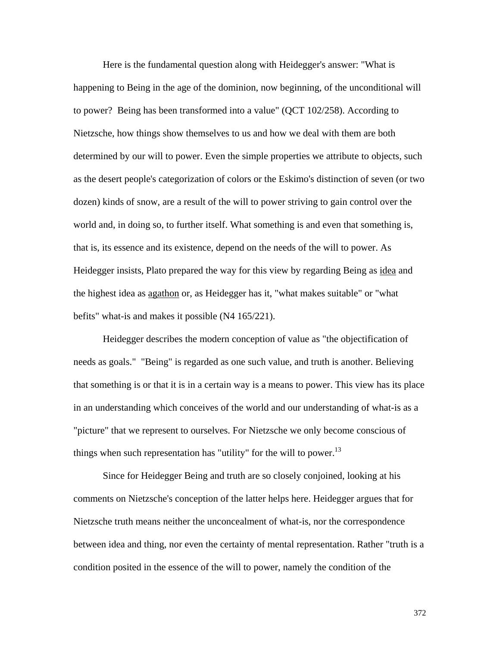Here is the fundamental question along with Heidegger's answer: "What is happening to Being in the age of the dominion, now beginning, of the unconditional will to power? Being has been transformed into a value" (QCT 102/258). According to Nietzsche, how things show themselves to us and how we deal with them are both determined by our will to power. Even the simple properties we attribute to objects, such as the desert people's categorization of colors or the Eskimo's distinction of seven (or two dozen) kinds of snow, are a result of the will to power striving to gain control over the world and, in doing so, to further itself. What something is and even that something is, that is, its essence and its existence, depend on the needs of the will to power. As Heidegger insists, Plato prepared the way for this view by regarding Being as idea and the highest idea as agathon or, as Heidegger has it, "what makes suitable" or "what befits" what-is and makes it possible (N4 165/221).

 Heidegger describes the modern conception of value as "the objectification of needs as goals." "Being" is regarded as one such value, and truth is another. Believing that something is or that it is in a certain way is a means to power. This view has its place in an understanding which conceives of the world and our understanding of what-is as a "picture" that we represent to ourselves. For Nietzsche we only become conscious of things when such representation has "utility" for the will to power.<sup>13</sup>

 Since for Heidegger Being and truth are so closely conjoined, looking at his comments on Nietzsche's conception of the latter helps here. Heidegger argues that for Nietzsche truth means neither the unconcealment of what-is, nor the correspondence between idea and thing, nor even the certainty of mental representation. Rather "truth is a condition posited in the essence of the will to power, namely the condition of the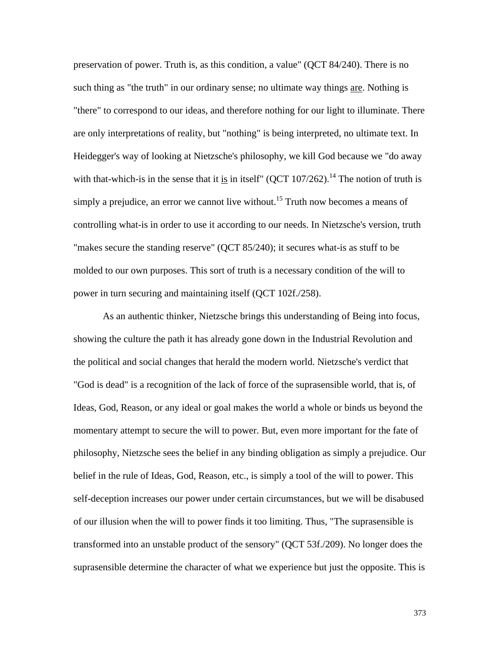preservation of power. Truth is, as this condition, a value" (QCT 84/240). There is no such thing as "the truth" in our ordinary sense; no ultimate way things are. Nothing is "there" to correspond to our ideas, and therefore nothing for our light to illuminate. There are only interpretations of reality, but "nothing" is being interpreted, no ultimate text. In Heidegger's way of looking at Nietzsche's philosophy, we kill God because we "do away with that-which-is in the sense that it is in itself"  $(QCT 107/262)$ .<sup>14</sup> The notion of truth is simply a prejudice, an error we cannot live without.<sup>15</sup> Truth now becomes a means of controlling what-is in order to use it according to our needs. In Nietzsche's version, truth "makes secure the standing reserve" (QCT 85/240); it secures what-is as stuff to be molded to our own purposes. This sort of truth is a necessary condition of the will to power in turn securing and maintaining itself (QCT 102f./258).

 As an authentic thinker, Nietzsche brings this understanding of Being into focus, showing the culture the path it has already gone down in the Industrial Revolution and the political and social changes that herald the modern world. Nietzsche's verdict that "God is dead" is a recognition of the lack of force of the suprasensible world, that is, of Ideas, God, Reason, or any ideal or goal makes the world a whole or binds us beyond the momentary attempt to secure the will to power. But, even more important for the fate of philosophy, Nietzsche sees the belief in any binding obligation as simply a prejudice. Our belief in the rule of Ideas, God, Reason, etc., is simply a tool of the will to power. This self-deception increases our power under certain circumstances, but we will be disabused of our illusion when the will to power finds it too limiting. Thus, "The suprasensible is transformed into an unstable product of the sensory" (QCT 53f./209). No longer does the suprasensible determine the character of what we experience but just the opposite. This is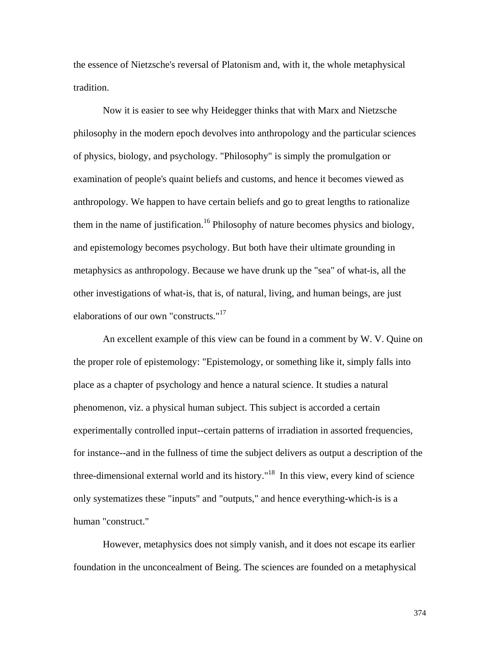the essence of Nietzsche's reversal of Platonism and, with it, the whole metaphysical tradition.

 Now it is easier to see why Heidegger thinks that with Marx and Nietzsche philosophy in the modern epoch devolves into anthropology and the particular sciences of physics, biology, and psychology. "Philosophy" is simply the promulgation or examination of people's quaint beliefs and customs, and hence it becomes viewed as anthropology. We happen to have certain beliefs and go to great lengths to rationalize them in the name of justification.<sup>16</sup> Philosophy of nature becomes physics and biology, and epistemology becomes psychology. But both have their ultimate grounding in metaphysics as anthropology. Because we have drunk up the "sea" of what-is, all the other investigations of what-is, that is, of natural, living, and human beings, are just elaborations of our own "constructs."<sup>17</sup>

 An excellent example of this view can be found in a comment by W. V. Quine on the proper role of epistemology: "Epistemology, or something like it, simply falls into place as a chapter of psychology and hence a natural science. It studies a natural phenomenon, viz. a physical human subject. This subject is accorded a certain experimentally controlled input--certain patterns of irradiation in assorted frequencies, for instance--and in the fullness of time the subject delivers as output a description of the three-dimensional external world and its history."<sup>18</sup> In this view, every kind of science only systematizes these "inputs" and "outputs," and hence everything-which-is is a human "construct."

 However, metaphysics does not simply vanish, and it does not escape its earlier foundation in the unconcealment of Being. The sciences are founded on a metaphysical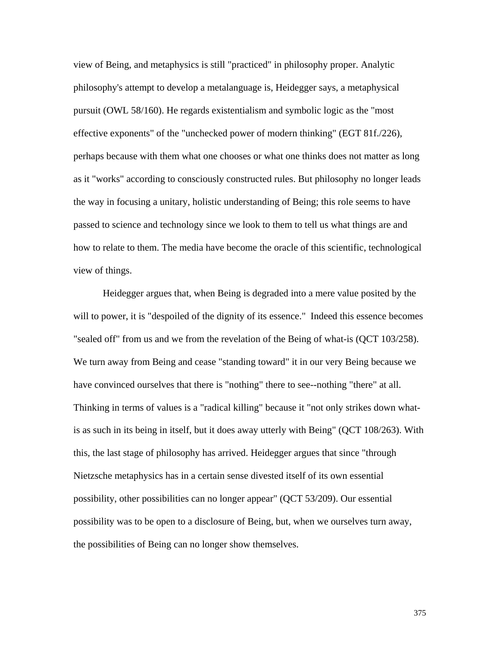view of Being, and metaphysics is still "practiced" in philosophy proper. Analytic philosophy's attempt to develop a metalanguage is, Heidegger says, a metaphysical pursuit (OWL 58/160). He regards existentialism and symbolic logic as the "most effective exponents" of the "unchecked power of modern thinking" (EGT 81f./226), perhaps because with them what one chooses or what one thinks does not matter as long as it "works" according to consciously constructed rules. But philosophy no longer leads the way in focusing a unitary, holistic understanding of Being; this role seems to have passed to science and technology since we look to them to tell us what things are and how to relate to them. The media have become the oracle of this scientific, technological view of things.

 Heidegger argues that, when Being is degraded into a mere value posited by the will to power, it is "despoiled of the dignity of its essence." Indeed this essence becomes "sealed off" from us and we from the revelation of the Being of what-is (QCT 103/258). We turn away from Being and cease "standing toward" it in our very Being because we have convinced ourselves that there is "nothing" there to see--nothing "there" at all. Thinking in terms of values is a "radical killing" because it "not only strikes down whatis as such in its being in itself, but it does away utterly with Being" (QCT 108/263). With this, the last stage of philosophy has arrived. Heidegger argues that since "through Nietzsche metaphysics has in a certain sense divested itself of its own essential possibility, other possibilities can no longer appear" (QCT 53/209). Our essential possibility was to be open to a disclosure of Being, but, when we ourselves turn away, the possibilities of Being can no longer show themselves.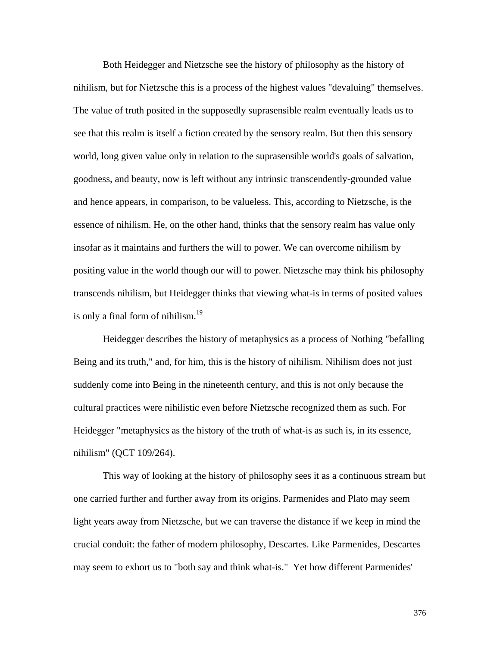Both Heidegger and Nietzsche see the history of philosophy as the history of nihilism, but for Nietzsche this is a process of the highest values "devaluing" themselves. The value of truth posited in the supposedly suprasensible realm eventually leads us to see that this realm is itself a fiction created by the sensory realm. But then this sensory world, long given value only in relation to the suprasensible world's goals of salvation, goodness, and beauty, now is left without any intrinsic transcendently-grounded value and hence appears, in comparison, to be valueless. This, according to Nietzsche, is the essence of nihilism. He, on the other hand, thinks that the sensory realm has value only insofar as it maintains and furthers the will to power. We can overcome nihilism by positing value in the world though our will to power. Nietzsche may think his philosophy transcends nihilism, but Heidegger thinks that viewing what-is in terms of posited values is only a final form of nihilism. $19$ 

 Heidegger describes the history of metaphysics as a process of Nothing "befalling Being and its truth," and, for him, this is the history of nihilism. Nihilism does not just suddenly come into Being in the nineteenth century, and this is not only because the cultural practices were nihilistic even before Nietzsche recognized them as such. For Heidegger "metaphysics as the history of the truth of what-is as such is, in its essence, nihilism" (QCT 109/264).

 This way of looking at the history of philosophy sees it as a continuous stream but one carried further and further away from its origins. Parmenides and Plato may seem light years away from Nietzsche, but we can traverse the distance if we keep in mind the crucial conduit: the father of modern philosophy, Descartes. Like Parmenides, Descartes may seem to exhort us to "both say and think what-is." Yet how different Parmenides'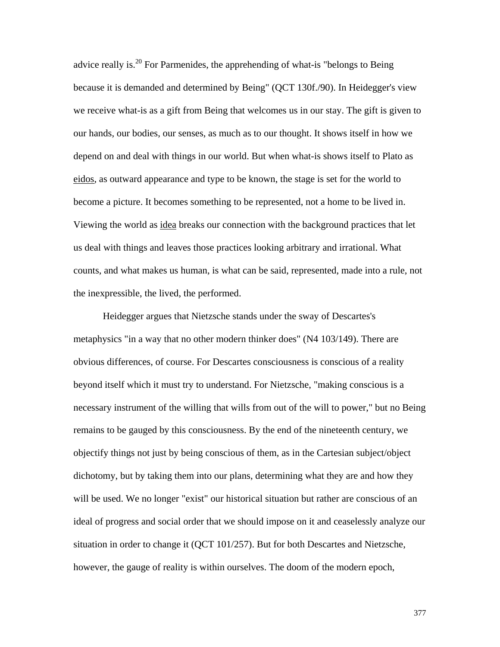advice really is.<sup>20</sup> For Parmenides, the apprehending of what-is "belongs to Being" because it is demanded and determined by Being" (QCT 130f./90). In Heidegger's view we receive what-is as a gift from Being that welcomes us in our stay. The gift is given to our hands, our bodies, our senses, as much as to our thought. It shows itself in how we depend on and deal with things in our world. But when what-is shows itself to Plato as eidos, as outward appearance and type to be known, the stage is set for the world to become a picture. It becomes something to be represented, not a home to be lived in. Viewing the world as idea breaks our connection with the background practices that let us deal with things and leaves those practices looking arbitrary and irrational. What counts, and what makes us human, is what can be said, represented, made into a rule, not the inexpressible, the lived, the performed.

 Heidegger argues that Nietzsche stands under the sway of Descartes's metaphysics "in a way that no other modern thinker does" (N4 103/149). There are obvious differences, of course. For Descartes consciousness is conscious of a reality beyond itself which it must try to understand. For Nietzsche, "making conscious is a necessary instrument of the willing that wills from out of the will to power," but no Being remains to be gauged by this consciousness. By the end of the nineteenth century, we objectify things not just by being conscious of them, as in the Cartesian subject/object dichotomy, but by taking them into our plans, determining what they are and how they will be used. We no longer "exist" our historical situation but rather are conscious of an ideal of progress and social order that we should impose on it and ceaselessly analyze our situation in order to change it (QCT 101/257). But for both Descartes and Nietzsche, however, the gauge of reality is within ourselves. The doom of the modern epoch,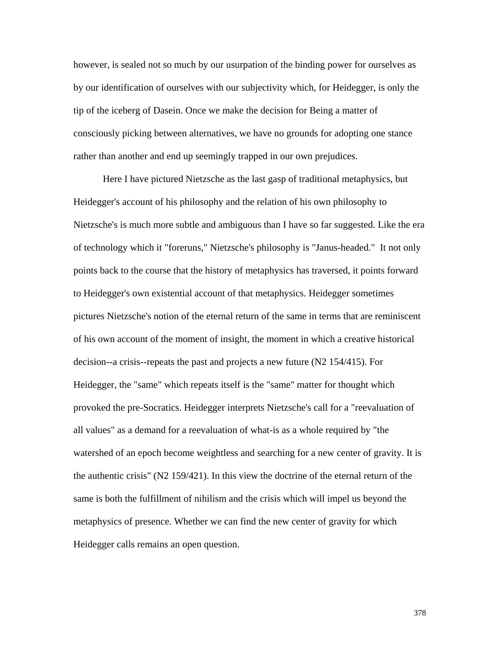however, is sealed not so much by our usurpation of the binding power for ourselves as by our identification of ourselves with our subjectivity which, for Heidegger, is only the tip of the iceberg of Dasein. Once we make the decision for Being a matter of consciously picking between alternatives, we have no grounds for adopting one stance rather than another and end up seemingly trapped in our own prejudices.

 Here I have pictured Nietzsche as the last gasp of traditional metaphysics, but Heidegger's account of his philosophy and the relation of his own philosophy to Nietzsche's is much more subtle and ambiguous than I have so far suggested. Like the era of technology which it "foreruns," Nietzsche's philosophy is "Janus-headed." It not only points back to the course that the history of metaphysics has traversed, it points forward to Heidegger's own existential account of that metaphysics. Heidegger sometimes pictures Nietzsche's notion of the eternal return of the same in terms that are reminiscent of his own account of the moment of insight, the moment in which a creative historical decision--a crisis--repeats the past and projects a new future (N2 154/415). For Heidegger, the "same" which repeats itself is the "same" matter for thought which provoked the pre-Socratics. Heidegger interprets Nietzsche's call for a "reevaluation of all values" as a demand for a reevaluation of what-is as a whole required by "the watershed of an epoch become weightless and searching for a new center of gravity. It is the authentic crisis" (N2 159/421). In this view the doctrine of the eternal return of the same is both the fulfillment of nihilism and the crisis which will impel us beyond the metaphysics of presence. Whether we can find the new center of gravity for which Heidegger calls remains an open question.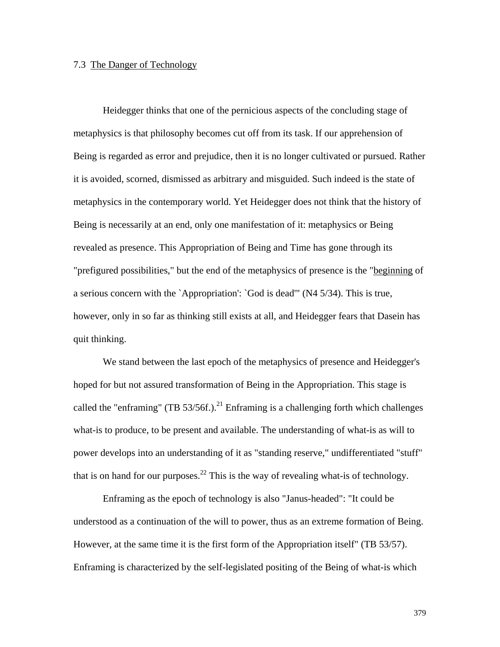#### 7.3 The Danger of Technology

 Heidegger thinks that one of the pernicious aspects of the concluding stage of metaphysics is that philosophy becomes cut off from its task. If our apprehension of Being is regarded as error and prejudice, then it is no longer cultivated or pursued. Rather it is avoided, scorned, dismissed as arbitrary and misguided. Such indeed is the state of metaphysics in the contemporary world. Yet Heidegger does not think that the history of Being is necessarily at an end, only one manifestation of it: metaphysics or Being revealed as presence. This Appropriation of Being and Time has gone through its "prefigured possibilities," but the end of the metaphysics of presence is the "beginning of a serious concern with the `Appropriation': `God is dead'" (N4 5/34). This is true, however, only in so far as thinking still exists at all, and Heidegger fears that Dasein has quit thinking.

 We stand between the last epoch of the metaphysics of presence and Heidegger's hoped for but not assured transformation of Being in the Appropriation. This stage is called the "enframing" (TB 53/56f.).<sup>21</sup> Enframing is a challenging forth which challenges what-is to produce, to be present and available. The understanding of what-is as will to power develops into an understanding of it as "standing reserve," undifferentiated "stuff" that is on hand for our purposes.<sup>22</sup> This is the way of revealing what-is of technology.

 Enframing as the epoch of technology is also "Janus-headed": "It could be understood as a continuation of the will to power, thus as an extreme formation of Being. However, at the same time it is the first form of the Appropriation itself" (TB 53/57). Enframing is characterized by the self-legislated positing of the Being of what-is which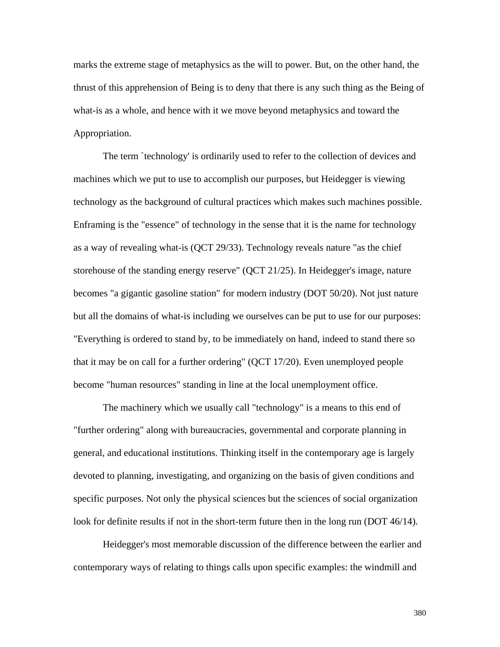marks the extreme stage of metaphysics as the will to power. But, on the other hand, the thrust of this apprehension of Being is to deny that there is any such thing as the Being of what-is as a whole, and hence with it we move beyond metaphysics and toward the Appropriation.

 The term `technology' is ordinarily used to refer to the collection of devices and machines which we put to use to accomplish our purposes, but Heidegger is viewing technology as the background of cultural practices which makes such machines possible. Enframing is the "essence" of technology in the sense that it is the name for technology as a way of revealing what-is (QCT 29/33). Technology reveals nature "as the chief storehouse of the standing energy reserve" (QCT 21/25). In Heidegger's image, nature becomes "a gigantic gasoline station" for modern industry (DOT 50/20). Not just nature but all the domains of what-is including we ourselves can be put to use for our purposes: "Everything is ordered to stand by, to be immediately on hand, indeed to stand there so that it may be on call for a further ordering" (QCT 17/20). Even unemployed people become "human resources" standing in line at the local unemployment office.

 The machinery which we usually call "technology" is a means to this end of "further ordering" along with bureaucracies, governmental and corporate planning in general, and educational institutions. Thinking itself in the contemporary age is largely devoted to planning, investigating, and organizing on the basis of given conditions and specific purposes. Not only the physical sciences but the sciences of social organization look for definite results if not in the short-term future then in the long run (DOT 46/14).

 Heidegger's most memorable discussion of the difference between the earlier and contemporary ways of relating to things calls upon specific examples: the windmill and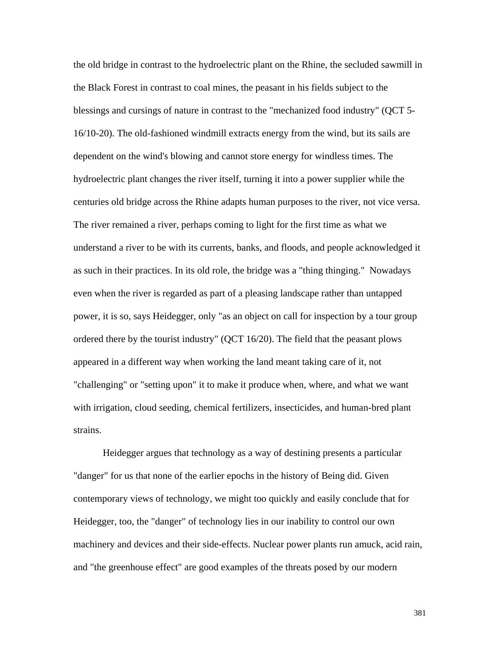the old bridge in contrast to the hydroelectric plant on the Rhine, the secluded sawmill in the Black Forest in contrast to coal mines, the peasant in his fields subject to the blessings and cursings of nature in contrast to the "mechanized food industry" (QCT 5- 16/10-20). The old-fashioned windmill extracts energy from the wind, but its sails are dependent on the wind's blowing and cannot store energy for windless times. The hydroelectric plant changes the river itself, turning it into a power supplier while the centuries old bridge across the Rhine adapts human purposes to the river, not vice versa. The river remained a river, perhaps coming to light for the first time as what we understand a river to be with its currents, banks, and floods, and people acknowledged it as such in their practices. In its old role, the bridge was a "thing thinging." Nowadays even when the river is regarded as part of a pleasing landscape rather than untapped power, it is so, says Heidegger, only "as an object on call for inspection by a tour group ordered there by the tourist industry" (QCT 16/20). The field that the peasant plows appeared in a different way when working the land meant taking care of it, not "challenging" or "setting upon" it to make it produce when, where, and what we want with irrigation, cloud seeding, chemical fertilizers, insecticides, and human-bred plant strains.

 Heidegger argues that technology as a way of destining presents a particular "danger" for us that none of the earlier epochs in the history of Being did. Given contemporary views of technology, we might too quickly and easily conclude that for Heidegger, too, the "danger" of technology lies in our inability to control our own machinery and devices and their side-effects. Nuclear power plants run amuck, acid rain, and "the greenhouse effect" are good examples of the threats posed by our modern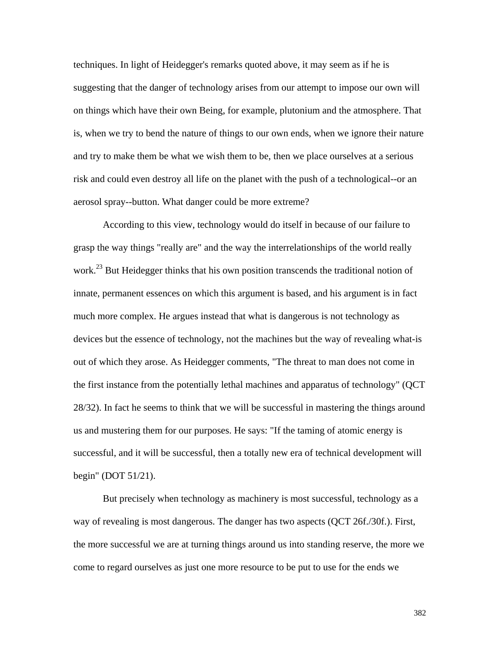techniques. In light of Heidegger's remarks quoted above, it may seem as if he is suggesting that the danger of technology arises from our attempt to impose our own will on things which have their own Being, for example, plutonium and the atmosphere. That is, when we try to bend the nature of things to our own ends, when we ignore their nature and try to make them be what we wish them to be, then we place ourselves at a serious risk and could even destroy all life on the planet with the push of a technological--or an aerosol spray--button. What danger could be more extreme?

 According to this view, technology would do itself in because of our failure to grasp the way things "really are" and the way the interrelationships of the world really work.<sup>23</sup> But Heidegger thinks that his own position transcends the traditional notion of innate, permanent essences on which this argument is based, and his argument is in fact much more complex. He argues instead that what is dangerous is not technology as devices but the essence of technology, not the machines but the way of revealing what-is out of which they arose. As Heidegger comments, "The threat to man does not come in the first instance from the potentially lethal machines and apparatus of technology" (QCT 28/32). In fact he seems to think that we will be successful in mastering the things around us and mustering them for our purposes. He says: "If the taming of atomic energy is successful, and it will be successful, then a totally new era of technical development will begin" (DOT 51/21).

 But precisely when technology as machinery is most successful, technology as a way of revealing is most dangerous. The danger has two aspects (QCT 26f./30f.). First, the more successful we are at turning things around us into standing reserve, the more we come to regard ourselves as just one more resource to be put to use for the ends we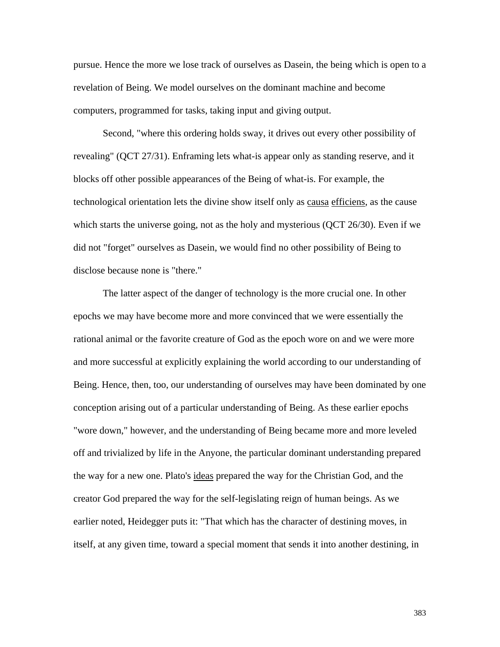pursue. Hence the more we lose track of ourselves as Dasein, the being which is open to a revelation of Being. We model ourselves on the dominant machine and become computers, programmed for tasks, taking input and giving output.

 Second, "where this ordering holds sway, it drives out every other possibility of revealing" (QCT 27/31). Enframing lets what-is appear only as standing reserve, and it blocks off other possible appearances of the Being of what-is. For example, the technological orientation lets the divine show itself only as causa efficiens, as the cause which starts the universe going, not as the holy and mysterious (QCT 26/30). Even if we did not "forget" ourselves as Dasein, we would find no other possibility of Being to disclose because none is "there."

 The latter aspect of the danger of technology is the more crucial one. In other epochs we may have become more and more convinced that we were essentially the rational animal or the favorite creature of God as the epoch wore on and we were more and more successful at explicitly explaining the world according to our understanding of Being. Hence, then, too, our understanding of ourselves may have been dominated by one conception arising out of a particular understanding of Being. As these earlier epochs "wore down," however, and the understanding of Being became more and more leveled off and trivialized by life in the Anyone, the particular dominant understanding prepared the way for a new one. Plato's ideas prepared the way for the Christian God, and the creator God prepared the way for the self-legislating reign of human beings. As we earlier noted, Heidegger puts it: "That which has the character of destining moves, in itself, at any given time, toward a special moment that sends it into another destining, in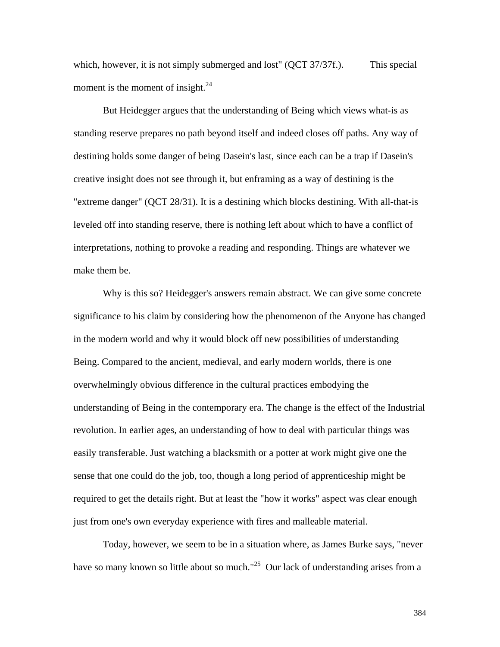which, however, it is not simply submerged and lost" (QCT 37/37f.). This special moment is the moment of insight. $^{24}$ 

 But Heidegger argues that the understanding of Being which views what-is as standing reserve prepares no path beyond itself and indeed closes off paths. Any way of destining holds some danger of being Dasein's last, since each can be a trap if Dasein's creative insight does not see through it, but enframing as a way of destining is the "extreme danger" (QCT 28/31). It is a destining which blocks destining. With all-that-is leveled off into standing reserve, there is nothing left about which to have a conflict of interpretations, nothing to provoke a reading and responding. Things are whatever we make them be.

 Why is this so? Heidegger's answers remain abstract. We can give some concrete significance to his claim by considering how the phenomenon of the Anyone has changed in the modern world and why it would block off new possibilities of understanding Being. Compared to the ancient, medieval, and early modern worlds, there is one overwhelmingly obvious difference in the cultural practices embodying the understanding of Being in the contemporary era. The change is the effect of the Industrial revolution. In earlier ages, an understanding of how to deal with particular things was easily transferable. Just watching a blacksmith or a potter at work might give one the sense that one could do the job, too, though a long period of apprenticeship might be required to get the details right. But at least the "how it works" aspect was clear enough just from one's own everyday experience with fires and malleable material.

 Today, however, we seem to be in a situation where, as James Burke says, "never have so many known so little about so much."<sup>25</sup> Our lack of understanding arises from a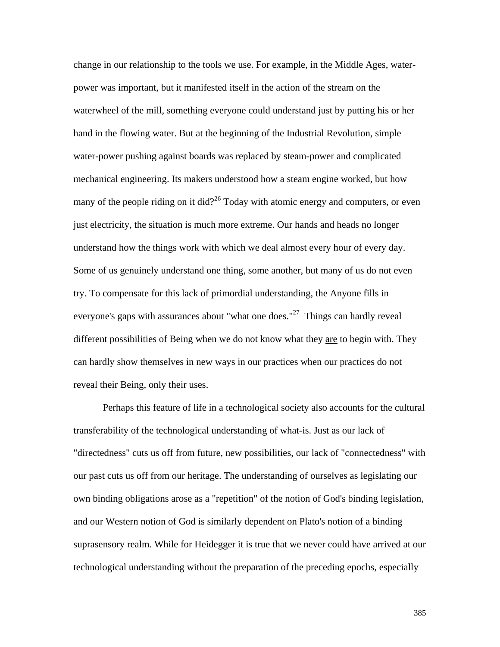change in our relationship to the tools we use. For example, in the Middle Ages, waterpower was important, but it manifested itself in the action of the stream on the waterwheel of the mill, something everyone could understand just by putting his or her hand in the flowing water. But at the beginning of the Industrial Revolution, simple water-power pushing against boards was replaced by steam-power and complicated mechanical engineering. Its makers understood how a steam engine worked, but how many of the people riding on it did?<sup>26</sup> Today with atomic energy and computers, or even just electricity, the situation is much more extreme. Our hands and heads no longer understand how the things work with which we deal almost every hour of every day. Some of us genuinely understand one thing, some another, but many of us do not even try. To compensate for this lack of primordial understanding, the Anyone fills in everyone's gaps with assurances about "what one does."<sup>27</sup> Things can hardly reveal different possibilities of Being when we do not know what they are to begin with. They can hardly show themselves in new ways in our practices when our practices do not reveal their Being, only their uses.

 Perhaps this feature of life in a technological society also accounts for the cultural transferability of the technological understanding of what-is. Just as our lack of "directedness" cuts us off from future, new possibilities, our lack of "connectedness" with our past cuts us off from our heritage. The understanding of ourselves as legislating our own binding obligations arose as a "repetition" of the notion of God's binding legislation, and our Western notion of God is similarly dependent on Plato's notion of a binding suprasensory realm. While for Heidegger it is true that we never could have arrived at our technological understanding without the preparation of the preceding epochs, especially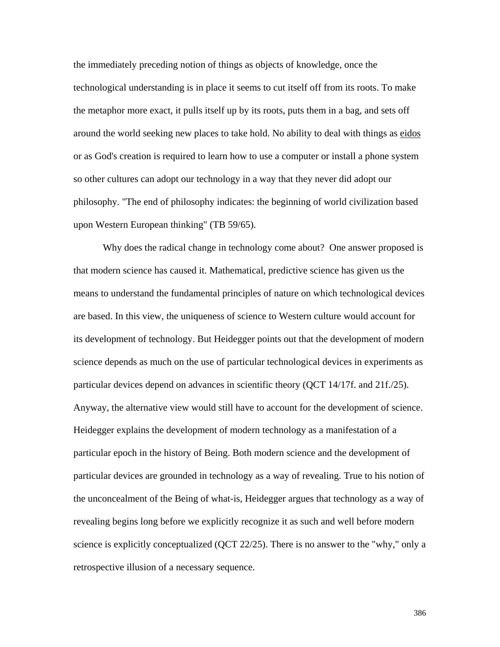the immediately preceding notion of things as objects of knowledge, once the technological understanding is in place it seems to cut itself off from its roots. To make the metaphor more exact, it pulls itself up by its roots, puts them in a bag, and sets off around the world seeking new places to take hold. No ability to deal with things as eidos or as God's creation is required to learn how to use a computer or install a phone system so other cultures can adopt our technology in a way that they never did adopt our philosophy. "The end of philosophy indicates: the beginning of world civilization based upon Western European thinking" (TB 59/65).

 Why does the radical change in technology come about? One answer proposed is that modern science has caused it. Mathematical, predictive science has given us the means to understand the fundamental principles of nature on which technological devices are based. In this view, the uniqueness of science to Western culture would account for its development of technology. But Heidegger points out that the development of modern science depends as much on the use of particular technological devices in experiments as particular devices depend on advances in scientific theory (QCT 14/17f. and 21f./25). Anyway, the alternative view would still have to account for the development of science. Heidegger explains the development of modern technology as a manifestation of a particular epoch in the history of Being. Both modern science and the development of particular devices are grounded in technology as a way of revealing. True to his notion of the unconcealment of the Being of what-is, Heidegger argues that technology as a way of revealing begins long before we explicitly recognize it as such and well before modern science is explicitly conceptualized (QCT 22/25). There is no answer to the "why," only a retrospective illusion of a necessary sequence.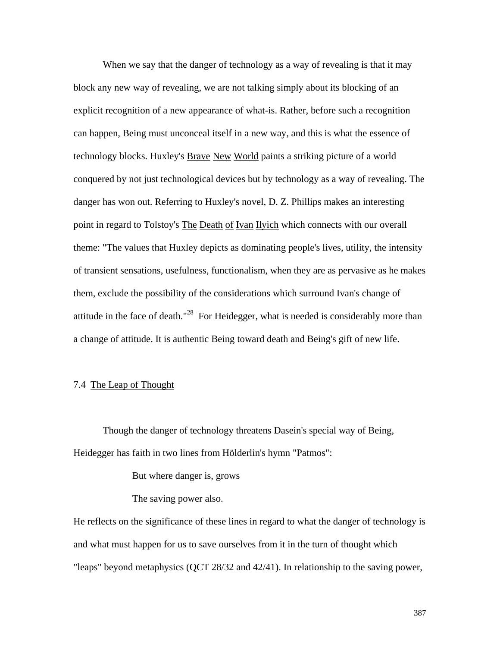When we say that the danger of technology as a way of revealing is that it may block any new way of revealing, we are not talking simply about its blocking of an explicit recognition of a new appearance of what-is. Rather, before such a recognition can happen, Being must unconceal itself in a new way, and this is what the essence of technology blocks. Huxley's Brave New World paints a striking picture of a world conquered by not just technological devices but by technology as a way of revealing. The danger has won out. Referring to Huxley's novel, D. Z. Phillips makes an interesting point in regard to Tolstoy's The Death of Ivan Ilyich which connects with our overall theme: "The values that Huxley depicts as dominating people's lives, utility, the intensity of transient sensations, usefulness, functionalism, when they are as pervasive as he makes them, exclude the possibility of the considerations which surround Ivan's change of attitude in the face of death."<sup>28</sup> For Heidegger, what is needed is considerably more than a change of attitude. It is authentic Being toward death and Being's gift of new life.

# 7.4 The Leap of Thought

 Though the danger of technology threatens Dasein's special way of Being, Heidegger has faith in two lines from Hölderlin's hymn "Patmos":

But where danger is, grows

The saving power also.

He reflects on the significance of these lines in regard to what the danger of technology is and what must happen for us to save ourselves from it in the turn of thought which "leaps" beyond metaphysics (QCT 28/32 and 42/41). In relationship to the saving power,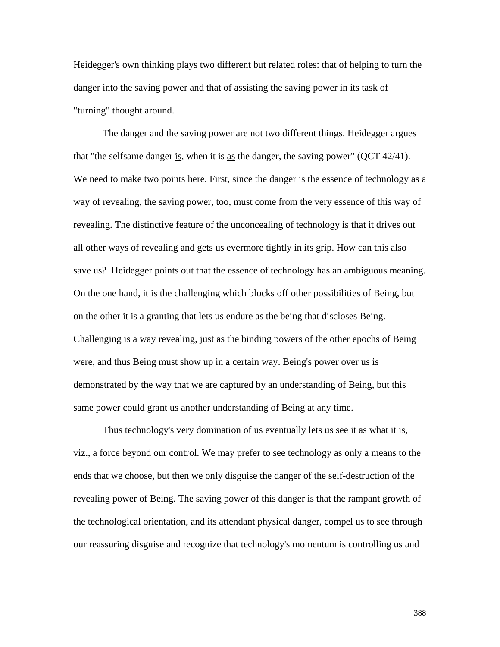Heidegger's own thinking plays two different but related roles: that of helping to turn the danger into the saving power and that of assisting the saving power in its task of "turning" thought around.

 The danger and the saving power are not two different things. Heidegger argues that "the selfsame danger is, when it is as the danger, the saving power" (QCT 42/41). We need to make two points here. First, since the danger is the essence of technology as a way of revealing, the saving power, too, must come from the very essence of this way of revealing. The distinctive feature of the unconcealing of technology is that it drives out all other ways of revealing and gets us evermore tightly in its grip. How can this also save us? Heidegger points out that the essence of technology has an ambiguous meaning. On the one hand, it is the challenging which blocks off other possibilities of Being, but on the other it is a granting that lets us endure as the being that discloses Being. Challenging is a way revealing, just as the binding powers of the other epochs of Being were, and thus Being must show up in a certain way. Being's power over us is demonstrated by the way that we are captured by an understanding of Being, but this same power could grant us another understanding of Being at any time.

 Thus technology's very domination of us eventually lets us see it as what it is, viz., a force beyond our control. We may prefer to see technology as only a means to the ends that we choose, but then we only disguise the danger of the self-destruction of the revealing power of Being. The saving power of this danger is that the rampant growth of the technological orientation, and its attendant physical danger, compel us to see through our reassuring disguise and recognize that technology's momentum is controlling us and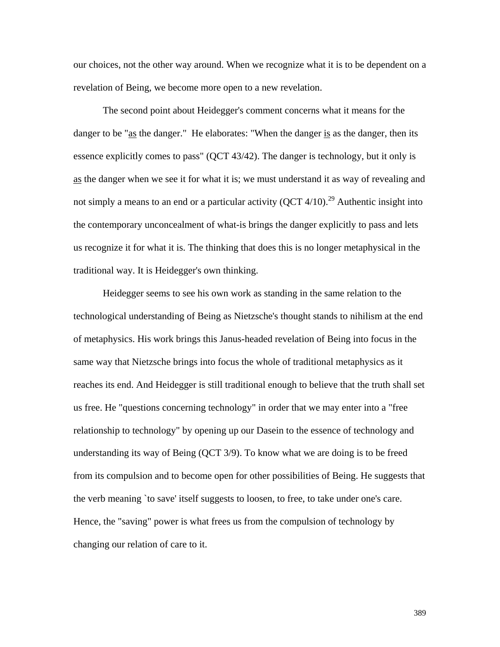our choices, not the other way around. When we recognize what it is to be dependent on a revelation of Being, we become more open to a new revelation.

 The second point about Heidegger's comment concerns what it means for the danger to be " $as$  the danger." He elaborates: "When the danger is as the danger, then its</u> essence explicitly comes to pass" (QCT 43/42). The danger is technology, but it only is as the danger when we see it for what it is; we must understand it as way of revealing and not simply a means to an end or a particular activity  $(QCT 4/10).^{29}$  Authentic insight into the contemporary unconcealment of what-is brings the danger explicitly to pass and lets us recognize it for what it is. The thinking that does this is no longer metaphysical in the traditional way. It is Heidegger's own thinking.

 Heidegger seems to see his own work as standing in the same relation to the technological understanding of Being as Nietzsche's thought stands to nihilism at the end of metaphysics. His work brings this Janus-headed revelation of Being into focus in the same way that Nietzsche brings into focus the whole of traditional metaphysics as it reaches its end. And Heidegger is still traditional enough to believe that the truth shall set us free. He "questions concerning technology" in order that we may enter into a "free relationship to technology" by opening up our Dasein to the essence of technology and understanding its way of Being (QCT 3/9). To know what we are doing is to be freed from its compulsion and to become open for other possibilities of Being. He suggests that the verb meaning `to save' itself suggests to loosen, to free, to take under one's care. Hence, the "saving" power is what frees us from the compulsion of technology by changing our relation of care to it.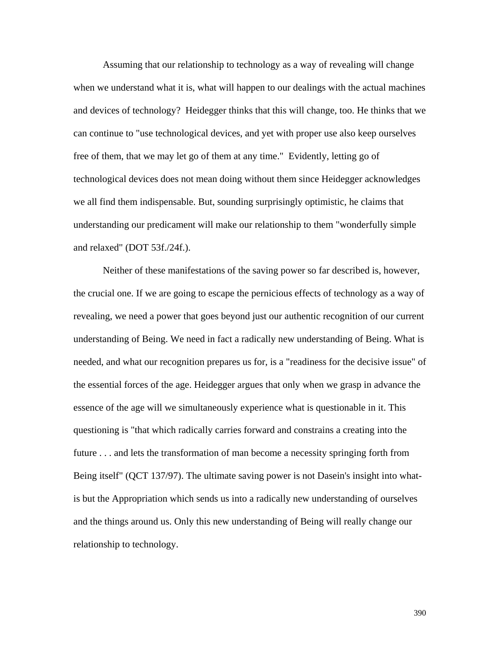Assuming that our relationship to technology as a way of revealing will change when we understand what it is, what will happen to our dealings with the actual machines and devices of technology? Heidegger thinks that this will change, too. He thinks that we can continue to "use technological devices, and yet with proper use also keep ourselves free of them, that we may let go of them at any time." Evidently, letting go of technological devices does not mean doing without them since Heidegger acknowledges we all find them indispensable. But, sounding surprisingly optimistic, he claims that understanding our predicament will make our relationship to them "wonderfully simple and relaxed" (DOT 53f./24f.).

 Neither of these manifestations of the saving power so far described is, however, the crucial one. If we are going to escape the pernicious effects of technology as a way of revealing, we need a power that goes beyond just our authentic recognition of our current understanding of Being. We need in fact a radically new understanding of Being. What is needed, and what our recognition prepares us for, is a "readiness for the decisive issue" of the essential forces of the age. Heidegger argues that only when we grasp in advance the essence of the age will we simultaneously experience what is questionable in it. This questioning is "that which radically carries forward and constrains a creating into the future . . . and lets the transformation of man become a necessity springing forth from Being itself" (QCT 137/97). The ultimate saving power is not Dasein's insight into whatis but the Appropriation which sends us into a radically new understanding of ourselves and the things around us. Only this new understanding of Being will really change our relationship to technology.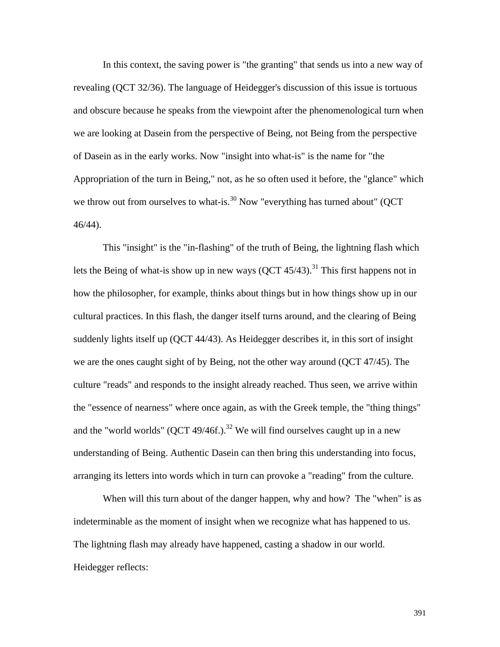In this context, the saving power is "the granting" that sends us into a new way of revealing (QCT 32/36). The language of Heidegger's discussion of this issue is tortuous and obscure because he speaks from the viewpoint after the phenomenological turn when we are looking at Dasein from the perspective of Being, not Being from the perspective of Dasein as in the early works. Now "insight into what-is" is the name for "the Appropriation of the turn in Being," not, as he so often used it before, the "glance" which we throw out from ourselves to what-is.<sup>30</sup> Now "everything has turned about" (QCT 46/44).

 This "insight" is the "in-flashing" of the truth of Being, the lightning flash which lets the Being of what-is show up in new ways  $(QCT 45/43).$ <sup>31</sup> This first happens not in how the philosopher, for example, thinks about things but in how things show up in our cultural practices. In this flash, the danger itself turns around, and the clearing of Being suddenly lights itself up (QCT 44/43). As Heidegger describes it, in this sort of insight we are the ones caught sight of by Being, not the other way around (QCT 47/45). The culture "reads" and responds to the insight already reached. Thus seen, we arrive within the "essence of nearness" where once again, as with the Greek temple, the "thing things" and the "world worlds" (QCT 49/46f.).<sup>32</sup> We will find ourselves caught up in a new understanding of Being. Authentic Dasein can then bring this understanding into focus, arranging its letters into words which in turn can provoke a "reading" from the culture.

When will this turn about of the danger happen, why and how? The "when" is as indeterminable as the moment of insight when we recognize what has happened to us. The lightning flash may already have happened, casting a shadow in our world. Heidegger reflects: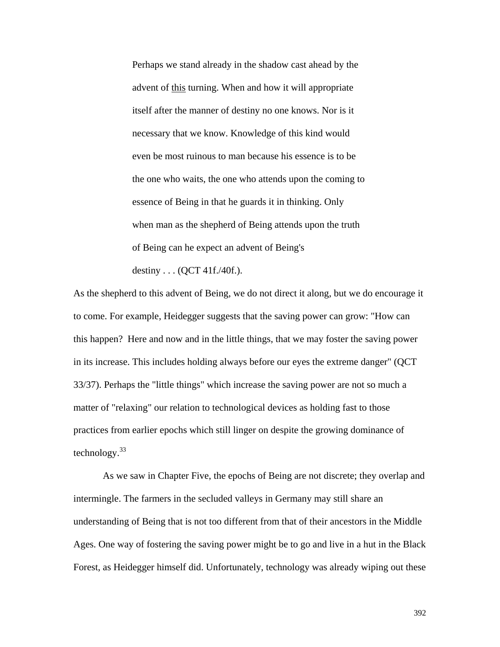Perhaps we stand already in the shadow cast ahead by the advent of this turning. When and how it will appropriate itself after the manner of destiny no one knows. Nor is it necessary that we know. Knowledge of this kind would even be most ruinous to man because his essence is to be the one who waits, the one who attends upon the coming to essence of Being in that he guards it in thinking. Only when man as the shepherd of Being attends upon the truth of Being can he expect an advent of Being's destiny . . . (QCT 41f./40f.).

As the shepherd to this advent of Being, we do not direct it along, but we do encourage it to come. For example, Heidegger suggests that the saving power can grow: "How can this happen? Here and now and in the little things, that we may foster the saving power in its increase. This includes holding always before our eyes the extreme danger" (QCT 33/37). Perhaps the "little things" which increase the saving power are not so much a matter of "relaxing" our relation to technological devices as holding fast to those practices from earlier epochs which still linger on despite the growing dominance of technology. $33$ 

 As we saw in Chapter Five, the epochs of Being are not discrete; they overlap and intermingle. The farmers in the secluded valleys in Germany may still share an understanding of Being that is not too different from that of their ancestors in the Middle Ages. One way of fostering the saving power might be to go and live in a hut in the Black Forest, as Heidegger himself did. Unfortunately, technology was already wiping out these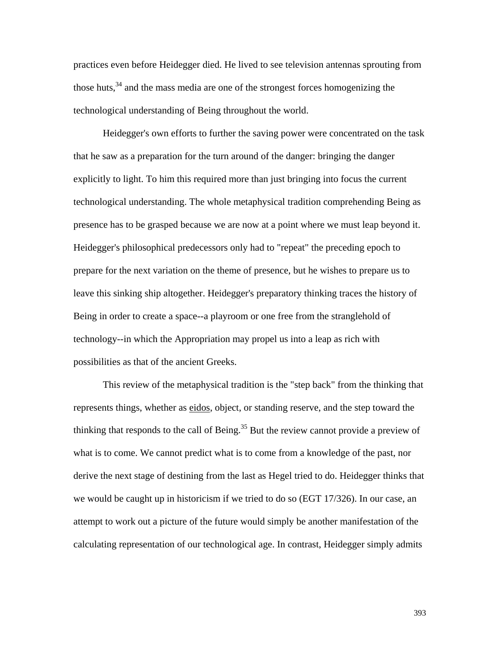practices even before Heidegger died. He lived to see television antennas sprouting from those huts,  $34$  and the mass media are one of the strongest forces homogenizing the technological understanding of Being throughout the world.

 Heidegger's own efforts to further the saving power were concentrated on the task that he saw as a preparation for the turn around of the danger: bringing the danger explicitly to light. To him this required more than just bringing into focus the current technological understanding. The whole metaphysical tradition comprehending Being as presence has to be grasped because we are now at a point where we must leap beyond it. Heidegger's philosophical predecessors only had to "repeat" the preceding epoch to prepare for the next variation on the theme of presence, but he wishes to prepare us to leave this sinking ship altogether. Heidegger's preparatory thinking traces the history of Being in order to create a space--a playroom or one free from the stranglehold of technology--in which the Appropriation may propel us into a leap as rich with possibilities as that of the ancient Greeks.

 This review of the metaphysical tradition is the "step back" from the thinking that represents things, whether as eidos, object, or standing reserve, and the step toward the thinking that responds to the call of Being.<sup>35</sup> But the review cannot provide a preview of what is to come. We cannot predict what is to come from a knowledge of the past, nor derive the next stage of destining from the last as Hegel tried to do. Heidegger thinks that we would be caught up in historicism if we tried to do so (EGT 17/326). In our case, an attempt to work out a picture of the future would simply be another manifestation of the calculating representation of our technological age. In contrast, Heidegger simply admits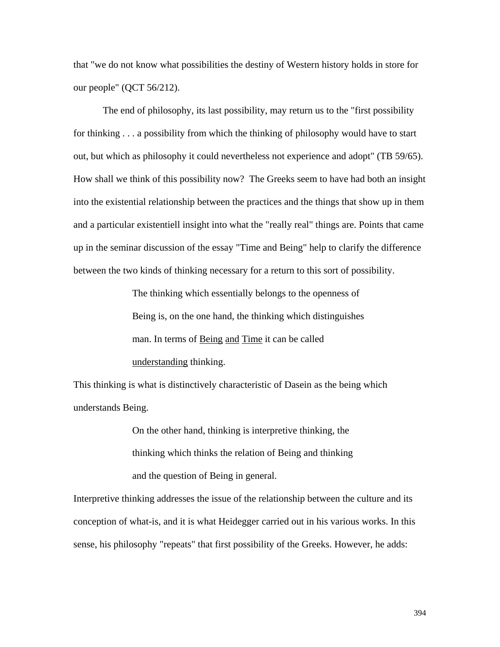that "we do not know what possibilities the destiny of Western history holds in store for our people" (QCT 56/212).

 The end of philosophy, its last possibility, may return us to the "first possibility for thinking . . . a possibility from which the thinking of philosophy would have to start out, but which as philosophy it could nevertheless not experience and adopt" (TB 59/65). How shall we think of this possibility now? The Greeks seem to have had both an insight into the existential relationship between the practices and the things that show up in them and a particular existentiell insight into what the "really real" things are. Points that came up in the seminar discussion of the essay "Time and Being" help to clarify the difference between the two kinds of thinking necessary for a return to this sort of possibility.

> The thinking which essentially belongs to the openness of Being is, on the one hand, the thinking which distinguishes man. In terms of Being and Time it can be called understanding thinking.

This thinking is what is distinctively characteristic of Dasein as the being which understands Being.

> On the other hand, thinking is interpretive thinking, the thinking which thinks the relation of Being and thinking and the question of Being in general.

Interpretive thinking addresses the issue of the relationship between the culture and its conception of what-is, and it is what Heidegger carried out in his various works. In this sense, his philosophy "repeats" that first possibility of the Greeks. However, he adds: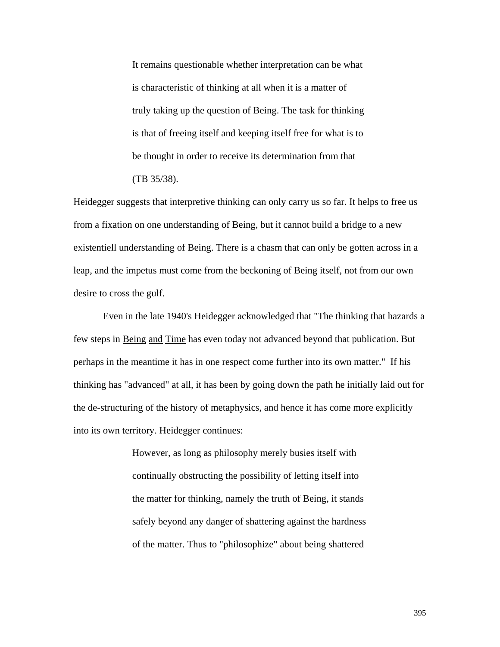It remains questionable whether interpretation can be what is characteristic of thinking at all when it is a matter of truly taking up the question of Being. The task for thinking is that of freeing itself and keeping itself free for what is to be thought in order to receive its determination from that (TB 35/38).

Heidegger suggests that interpretive thinking can only carry us so far. It helps to free us from a fixation on one understanding of Being, but it cannot build a bridge to a new existentiell understanding of Being. There is a chasm that can only be gotten across in a leap, and the impetus must come from the beckoning of Being itself, not from our own desire to cross the gulf.

 Even in the late 1940's Heidegger acknowledged that "The thinking that hazards a few steps in Being and Time has even today not advanced beyond that publication. But perhaps in the meantime it has in one respect come further into its own matter." If his thinking has "advanced" at all, it has been by going down the path he initially laid out for the de-structuring of the history of metaphysics, and hence it has come more explicitly into its own territory. Heidegger continues:

> However, as long as philosophy merely busies itself with continually obstructing the possibility of letting itself into the matter for thinking, namely the truth of Being, it stands safely beyond any danger of shattering against the hardness of the matter. Thus to "philosophize" about being shattered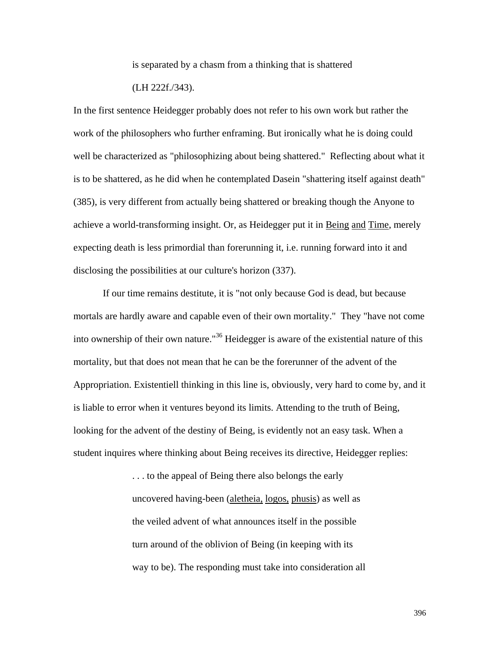is separated by a chasm from a thinking that is shattered

(LH 222f./343).

In the first sentence Heidegger probably does not refer to his own work but rather the work of the philosophers who further enframing. But ironically what he is doing could well be characterized as "philosophizing about being shattered." Reflecting about what it is to be shattered, as he did when he contemplated Dasein "shattering itself against death" (385), is very different from actually being shattered or breaking though the Anyone to achieve a world-transforming insight. Or, as Heidegger put it in Being and Time, merely expecting death is less primordial than forerunning it, i.e. running forward into it and disclosing the possibilities at our culture's horizon (337).

 If our time remains destitute, it is "not only because God is dead, but because mortals are hardly aware and capable even of their own mortality." They "have not come into ownership of their own nature."<sup>36</sup> Heidegger is aware of the existential nature of this mortality, but that does not mean that he can be the forerunner of the advent of the Appropriation. Existentiell thinking in this line is, obviously, very hard to come by, and it is liable to error when it ventures beyond its limits. Attending to the truth of Being, looking for the advent of the destiny of Being, is evidently not an easy task. When a student inquires where thinking about Being receives its directive, Heidegger replies:

> . . . to the appeal of Being there also belongs the early uncovered having-been (aletheia, logos, phusis) as well as the veiled advent of what announces itself in the possible turn around of the oblivion of Being (in keeping with its way to be). The responding must take into consideration all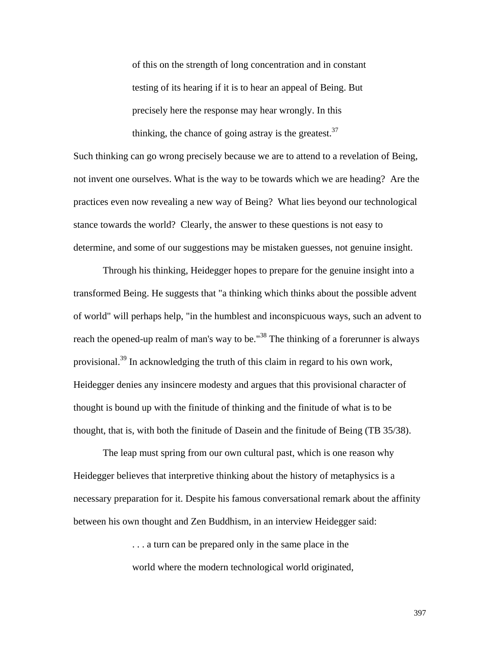of this on the strength of long concentration and in constant testing of its hearing if it is to hear an appeal of Being. But precisely here the response may hear wrongly. In this thinking, the chance of going astray is the greatest.  $37$ 

Such thinking can go wrong precisely because we are to attend to a revelation of Being, not invent one ourselves. What is the way to be towards which we are heading? Are the practices even now revealing a new way of Being? What lies beyond our technological stance towards the world? Clearly, the answer to these questions is not easy to determine, and some of our suggestions may be mistaken guesses, not genuine insight.

 Through his thinking, Heidegger hopes to prepare for the genuine insight into a transformed Being. He suggests that "a thinking which thinks about the possible advent of world" will perhaps help, "in the humblest and inconspicuous ways, such an advent to reach the opened-up realm of man's way to be."<sup>38</sup> The thinking of a forerunner is always provisional.<sup>39</sup> In acknowledging the truth of this claim in regard to his own work, Heidegger denies any insincere modesty and argues that this provisional character of thought is bound up with the finitude of thinking and the finitude of what is to be thought, that is, with both the finitude of Dasein and the finitude of Being (TB 35/38).

 The leap must spring from our own cultural past, which is one reason why Heidegger believes that interpretive thinking about the history of metaphysics is a necessary preparation for it. Despite his famous conversational remark about the affinity between his own thought and Zen Buddhism, in an interview Heidegger said:

> . . . a turn can be prepared only in the same place in the world where the modern technological world originated,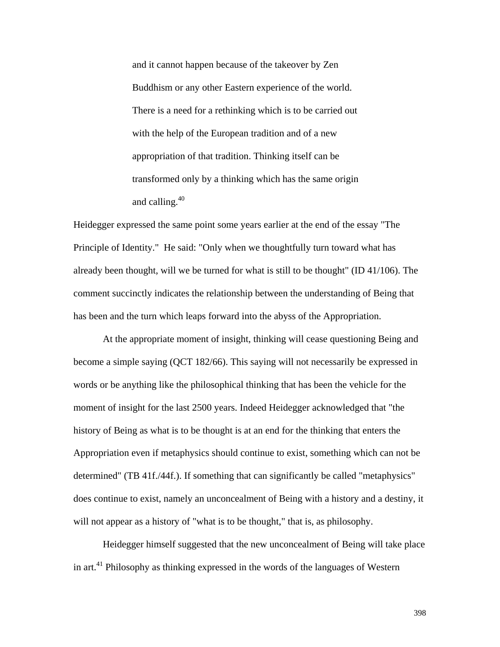and it cannot happen because of the takeover by Zen Buddhism or any other Eastern experience of the world. There is a need for a rethinking which is to be carried out with the help of the European tradition and of a new appropriation of that tradition. Thinking itself can be transformed only by a thinking which has the same origin and calling.40

Heidegger expressed the same point some years earlier at the end of the essay "The Principle of Identity." He said: "Only when we thoughtfully turn toward what has already been thought, will we be turned for what is still to be thought" (ID 41/106). The comment succinctly indicates the relationship between the understanding of Being that has been and the turn which leaps forward into the abyss of the Appropriation.

 At the appropriate moment of insight, thinking will cease questioning Being and become a simple saying (QCT 182/66). This saying will not necessarily be expressed in words or be anything like the philosophical thinking that has been the vehicle for the moment of insight for the last 2500 years. Indeed Heidegger acknowledged that "the history of Being as what is to be thought is at an end for the thinking that enters the Appropriation even if metaphysics should continue to exist, something which can not be determined" (TB 41f./44f.). If something that can significantly be called "metaphysics" does continue to exist, namely an unconcealment of Being with a history and a destiny, it will not appear as a history of "what is to be thought," that is, as philosophy.

 Heidegger himself suggested that the new unconcealment of Being will take place in art.<sup>41</sup> Philosophy as thinking expressed in the words of the languages of Western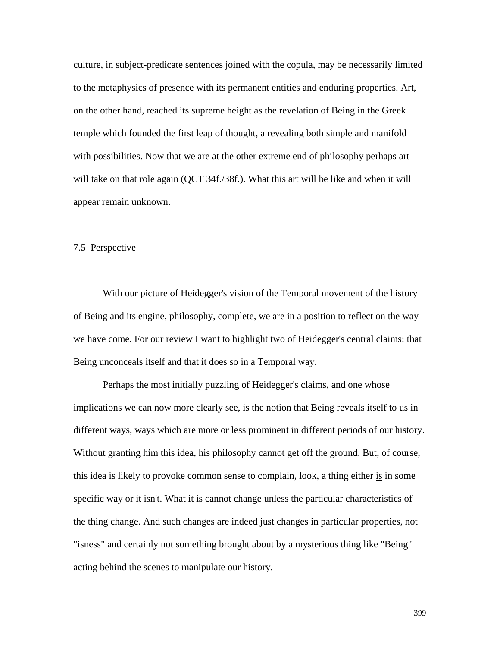culture, in subject-predicate sentences joined with the copula, may be necessarily limited to the metaphysics of presence with its permanent entities and enduring properties. Art, on the other hand, reached its supreme height as the revelation of Being in the Greek temple which founded the first leap of thought, a revealing both simple and manifold with possibilities. Now that we are at the other extreme end of philosophy perhaps art will take on that role again (QCT 34f./38f.). What this art will be like and when it will appear remain unknown.

## 7.5 Perspective

 With our picture of Heidegger's vision of the Temporal movement of the history of Being and its engine, philosophy, complete, we are in a position to reflect on the way we have come. For our review I want to highlight two of Heidegger's central claims: that Being unconceals itself and that it does so in a Temporal way.

 Perhaps the most initially puzzling of Heidegger's claims, and one whose implications we can now more clearly see, is the notion that Being reveals itself to us in different ways, ways which are more or less prominent in different periods of our history. Without granting him this idea, his philosophy cannot get off the ground. But, of course, this idea is likely to provoke common sense to complain, look, a thing either is in some specific way or it isn't. What it is cannot change unless the particular characteristics of the thing change. And such changes are indeed just changes in particular properties, not "isness" and certainly not something brought about by a mysterious thing like "Being" acting behind the scenes to manipulate our history.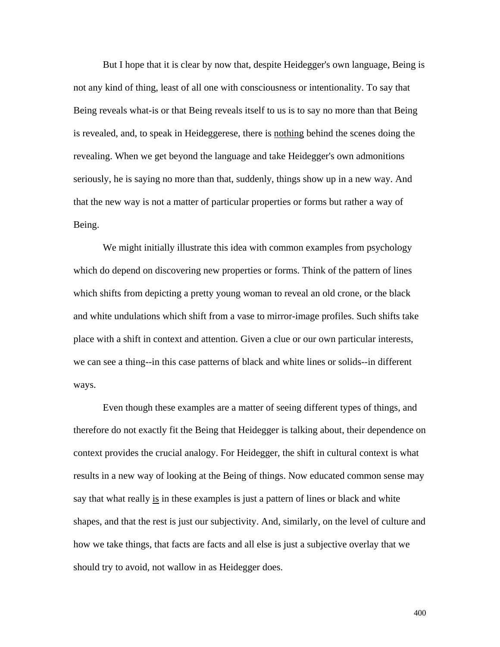But I hope that it is clear by now that, despite Heidegger's own language, Being is not any kind of thing, least of all one with consciousness or intentionality. To say that Being reveals what-is or that Being reveals itself to us is to say no more than that Being is revealed, and, to speak in Heideggerese, there is nothing behind the scenes doing the revealing. When we get beyond the language and take Heidegger's own admonitions seriously, he is saying no more than that, suddenly, things show up in a new way. And that the new way is not a matter of particular properties or forms but rather a way of Being.

We might initially illustrate this idea with common examples from psychology which do depend on discovering new properties or forms. Think of the pattern of lines which shifts from depicting a pretty young woman to reveal an old crone, or the black and white undulations which shift from a vase to mirror-image profiles. Such shifts take place with a shift in context and attention. Given a clue or our own particular interests, we can see a thing--in this case patterns of black and white lines or solids--in different ways.

 Even though these examples are a matter of seeing different types of things, and therefore do not exactly fit the Being that Heidegger is talking about, their dependence on context provides the crucial analogy. For Heidegger, the shift in cultural context is what results in a new way of looking at the Being of things. Now educated common sense may say that what really is in these examples is just a pattern of lines or black and white shapes, and that the rest is just our subjectivity. And, similarly, on the level of culture and how we take things, that facts are facts and all else is just a subjective overlay that we should try to avoid, not wallow in as Heidegger does.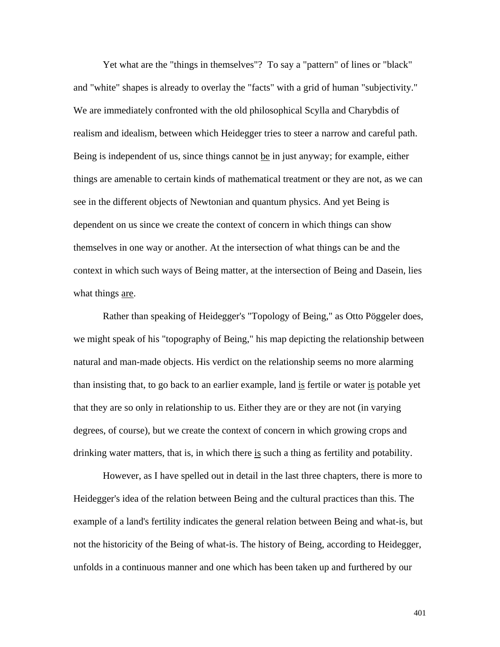Yet what are the "things in themselves"? To say a "pattern" of lines or "black" and "white" shapes is already to overlay the "facts" with a grid of human "subjectivity." We are immediately confronted with the old philosophical Scylla and Charybdis of realism and idealism, between which Heidegger tries to steer a narrow and careful path. Being is independent of us, since things cannot be in just anyway; for example, either things are amenable to certain kinds of mathematical treatment or they are not, as we can see in the different objects of Newtonian and quantum physics. And yet Being is dependent on us since we create the context of concern in which things can show themselves in one way or another. At the intersection of what things can be and the context in which such ways of Being matter, at the intersection of Being and Dasein, lies what things <u>are</u>.

 Rather than speaking of Heidegger's "Topology of Being," as Otto Pöggeler does, we might speak of his "topography of Being," his map depicting the relationship between natural and man-made objects. His verdict on the relationship seems no more alarming than insisting that, to go back to an earlier example, land is fertile or water is potable yet that they are so only in relationship to us. Either they are or they are not (in varying degrees, of course), but we create the context of concern in which growing crops and drinking water matters, that is, in which there is such a thing as fertility and potability.

 However, as I have spelled out in detail in the last three chapters, there is more to Heidegger's idea of the relation between Being and the cultural practices than this. The example of a land's fertility indicates the general relation between Being and what-is, but not the historicity of the Being of what-is. The history of Being, according to Heidegger, unfolds in a continuous manner and one which has been taken up and furthered by our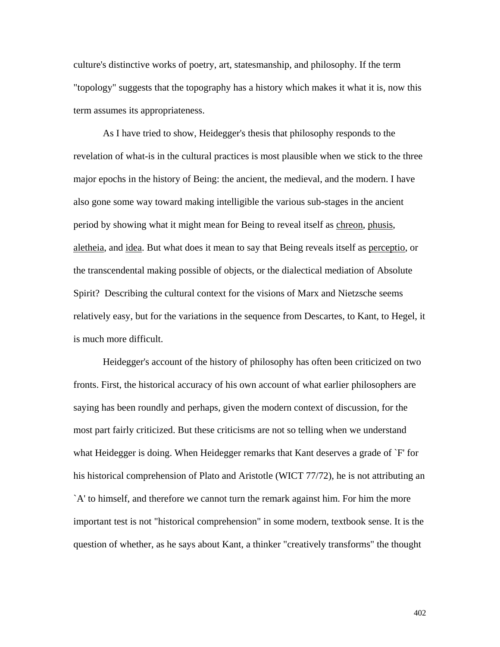culture's distinctive works of poetry, art, statesmanship, and philosophy. If the term "topology" suggests that the topography has a history which makes it what it is, now this term assumes its appropriateness.

 As I have tried to show, Heidegger's thesis that philosophy responds to the revelation of what-is in the cultural practices is most plausible when we stick to the three major epochs in the history of Being: the ancient, the medieval, and the modern. I have also gone some way toward making intelligible the various sub-stages in the ancient period by showing what it might mean for Being to reveal itself as chreon, phusis, aletheia, and idea. But what does it mean to say that Being reveals itself as perceptio, or the transcendental making possible of objects, or the dialectical mediation of Absolute Spirit? Describing the cultural context for the visions of Marx and Nietzsche seems relatively easy, but for the variations in the sequence from Descartes, to Kant, to Hegel, it is much more difficult.

 Heidegger's account of the history of philosophy has often been criticized on two fronts. First, the historical accuracy of his own account of what earlier philosophers are saying has been roundly and perhaps, given the modern context of discussion, for the most part fairly criticized. But these criticisms are not so telling when we understand what Heidegger is doing. When Heidegger remarks that Kant deserves a grade of `F' for his historical comprehension of Plato and Aristotle (WICT 77/72), he is not attributing an `A' to himself, and therefore we cannot turn the remark against him. For him the more important test is not "historical comprehension" in some modern, textbook sense. It is the question of whether, as he says about Kant, a thinker "creatively transforms" the thought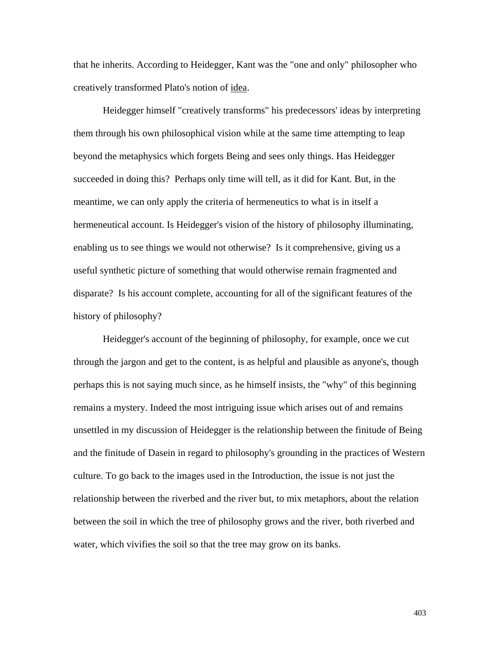that he inherits. According to Heidegger, Kant was the "one and only" philosopher who creatively transformed Plato's notion of idea.

 Heidegger himself "creatively transforms" his predecessors' ideas by interpreting them through his own philosophical vision while at the same time attempting to leap beyond the metaphysics which forgets Being and sees only things. Has Heidegger succeeded in doing this? Perhaps only time will tell, as it did for Kant. But, in the meantime, we can only apply the criteria of hermeneutics to what is in itself a hermeneutical account. Is Heidegger's vision of the history of philosophy illuminating, enabling us to see things we would not otherwise? Is it comprehensive, giving us a useful synthetic picture of something that would otherwise remain fragmented and disparate? Is his account complete, accounting for all of the significant features of the history of philosophy?

 Heidegger's account of the beginning of philosophy, for example, once we cut through the jargon and get to the content, is as helpful and plausible as anyone's, though perhaps this is not saying much since, as he himself insists, the "why" of this beginning remains a mystery. Indeed the most intriguing issue which arises out of and remains unsettled in my discussion of Heidegger is the relationship between the finitude of Being and the finitude of Dasein in regard to philosophy's grounding in the practices of Western culture. To go back to the images used in the Introduction, the issue is not just the relationship between the riverbed and the river but, to mix metaphors, about the relation between the soil in which the tree of philosophy grows and the river, both riverbed and water, which vivifies the soil so that the tree may grow on its banks.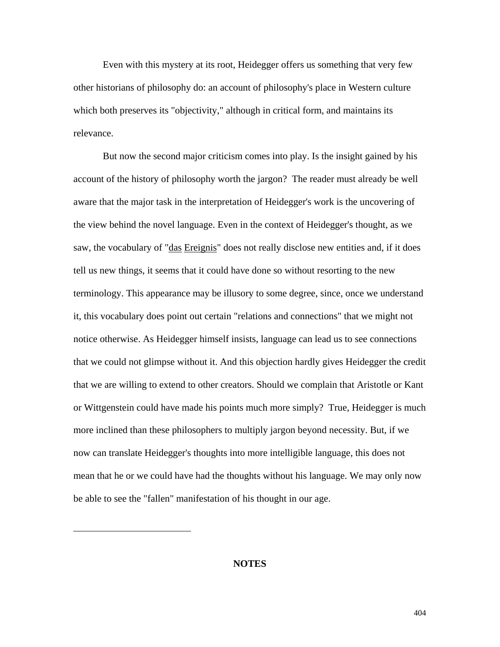Even with this mystery at its root, Heidegger offers us something that very few other historians of philosophy do: an account of philosophy's place in Western culture which both preserves its "objectivity," although in critical form, and maintains its relevance.

 But now the second major criticism comes into play. Is the insight gained by his account of the history of philosophy worth the jargon? The reader must already be well aware that the major task in the interpretation of Heidegger's work is the uncovering of the view behind the novel language. Even in the context of Heidegger's thought, as we saw, the vocabulary of "das Ereignis" does not really disclose new entities and, if it does tell us new things, it seems that it could have done so without resorting to the new terminology. This appearance may be illusory to some degree, since, once we understand it, this vocabulary does point out certain "relations and connections" that we might not notice otherwise. As Heidegger himself insists, language can lead us to see connections that we could not glimpse without it. And this objection hardly gives Heidegger the credit that we are willing to extend to other creators. Should we complain that Aristotle or Kant or Wittgenstein could have made his points much more simply? True, Heidegger is much more inclined than these philosophers to multiply jargon beyond necessity. But, if we now can translate Heidegger's thoughts into more intelligible language, this does not mean that he or we could have had the thoughts without his language. We may only now be able to see the "fallen" manifestation of his thought in our age.

# **NOTES**

 $\overline{a}$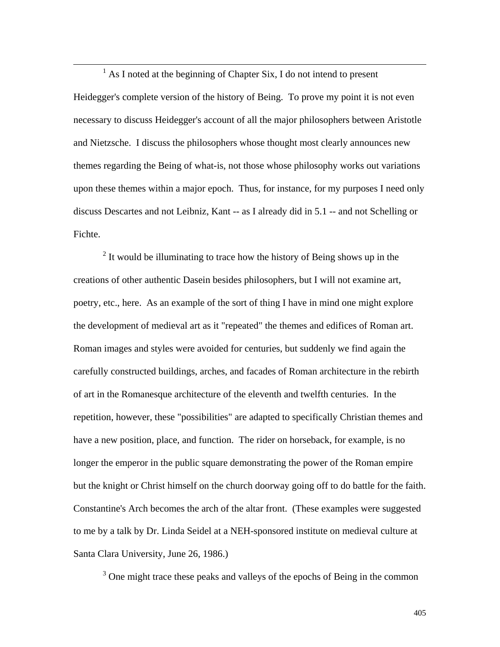<u>1</u>  $<sup>1</sup>$  As I noted at the beginning of Chapter Six, I do not intend to present</sup> Heidegger's complete version of the history of Being. To prove my point it is not even necessary to discuss Heidegger's account of all the major philosophers between Aristotle and Nietzsche. I discuss the philosophers whose thought most clearly announces new themes regarding the Being of what-is, not those whose philosophy works out variations upon these themes within a major epoch. Thus, for instance, for my purposes I need only discuss Descartes and not Leibniz, Kant -- as I already did in 5.1 -- and not Schelling or Fichte.

 $2<sup>2</sup>$  It would be illuminating to trace how the history of Being shows up in the creations of other authentic Dasein besides philosophers, but I will not examine art, poetry, etc., here. As an example of the sort of thing I have in mind one might explore the development of medieval art as it "repeated" the themes and edifices of Roman art. Roman images and styles were avoided for centuries, but suddenly we find again the carefully constructed buildings, arches, and facades of Roman architecture in the rebirth of art in the Romanesque architecture of the eleventh and twelfth centuries. In the repetition, however, these "possibilities" are adapted to specifically Christian themes and have a new position, place, and function. The rider on horseback, for example, is no longer the emperor in the public square demonstrating the power of the Roman empire but the knight or Christ himself on the church doorway going off to do battle for the faith. Constantine's Arch becomes the arch of the altar front. (These examples were suggested to me by a talk by Dr. Linda Seidel at a NEH-sponsored institute on medieval culture at Santa Clara University, June 26, 1986.)

 $3$  One might trace these peaks and valleys of the epochs of Being in the common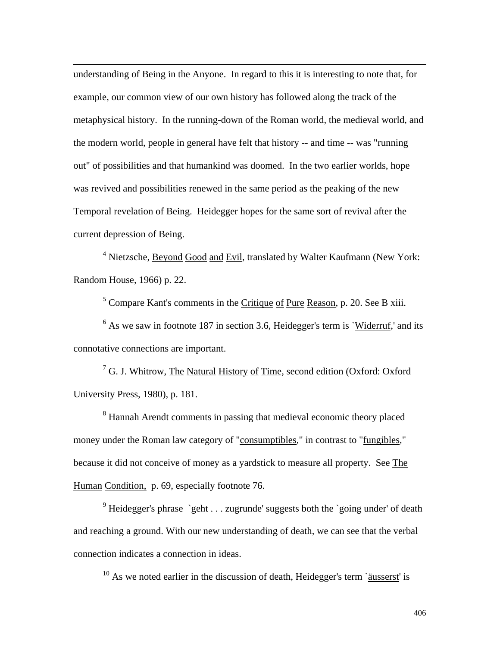understanding of Being in the Anyone. In regard to this it is interesting to note that, for example, our common view of our own history has followed along the track of the metaphysical history. In the running-down of the Roman world, the medieval world, and the modern world, people in general have felt that history -- and time -- was "running out" of possibilities and that humankind was doomed. In the two earlier worlds, hope was revived and possibilities renewed in the same period as the peaking of the new Temporal revelation of Being. Heidegger hopes for the same sort of revival after the current depression of Being.

 $\overline{a}$ 

<sup>4</sup> Nietzsche, Beyond Good and Evil, translated by Walter Kaufmann (New York: Random House, 1966) p. 22.

 $<sup>5</sup>$  Compare Kant's comments in the Critique of Pure Reason, p. 20. See B xiii.</sup>

 $6$  As we saw in footnote 187 in section 3.6, Heidegger's term is `Widerruf,' and its connotative connections are important.

<sup>7</sup> G. J. Whitrow, The Natural History of Time, second edition (Oxford: Oxford University Press, 1980), p. 181.

<sup>8</sup> Hannah Arendt comments in passing that medieval economic theory placed money under the Roman law category of "consumptibles," in contrast to "fungibles," because it did not conceive of money as a yardstick to measure all property. See The Human Condition, p. 69, especially footnote 76.

<sup>9</sup> Heidegger's phrase `geht  $\frac{1}{2}$   $\frac{1}{2}$  zugrunde' suggests both the `going under' of death and reaching a ground. With our new understanding of death, we can see that the verbal connection indicates a connection in ideas.

 $10$  As we noted earlier in the discussion of death, Heidegger's term `äusserst' is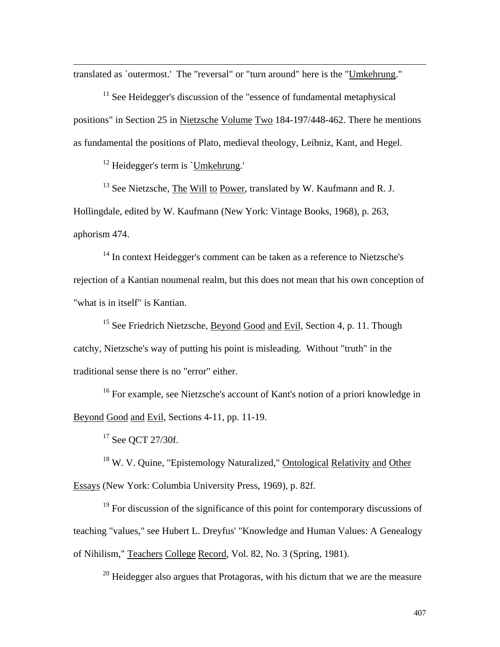translated as `outermost.' The "reversal" or "turn around" here is the "Umkehrung."

 $11$  See Heidegger's discussion of the "essence of fundamental metaphysical positions" in Section 25 in Nietzsche Volume Two 184-197/448-462. There he mentions as fundamental the positions of Plato, medieval theology, Leibniz, Kant, and Hegel.

<sup>12</sup> Heidegger's term is `Umkehrung.'

 $\overline{a}$ 

 $^{13}$  See Nietzsche, The Will to Power, translated by W. Kaufmann and R. J. Hollingdale, edited by W. Kaufmann (New York: Vintage Books, 1968), p. 263, aphorism 474.

 $14$  In context Heidegger's comment can be taken as a reference to Nietzsche's rejection of a Kantian noumenal realm, but this does not mean that his own conception of "what is in itself" is Kantian.

<sup>15</sup> See Friedrich Nietzsche, Beyond Good and Evil, Section 4, p. 11. Though catchy, Nietzsche's way of putting his point is misleading. Without "truth" in the traditional sense there is no "error" either.

<sup>16</sup> For example, see Nietzsche's account of Kant's notion of a priori knowledge in Beyond Good and Evil, Sections 4-11, pp. 11-19.

<sup>17</sup> See QCT 27/30f.

<sup>18</sup> W. V. Quine, "Epistemology Naturalized," Ontological Relativity and Other Essays (New York: Columbia University Press, 1969), p. 82f.

<sup>19</sup> For discussion of the significance of this point for contemporary discussions of teaching "values," see Hubert L. Dreyfus' "Knowledge and Human Values: A Genealogy of Nihilism," Teachers College Record, Vol. 82, No. 3 (Spring, 1981).

 $20$  Heidegger also argues that Protagoras, with his dictum that we are the measure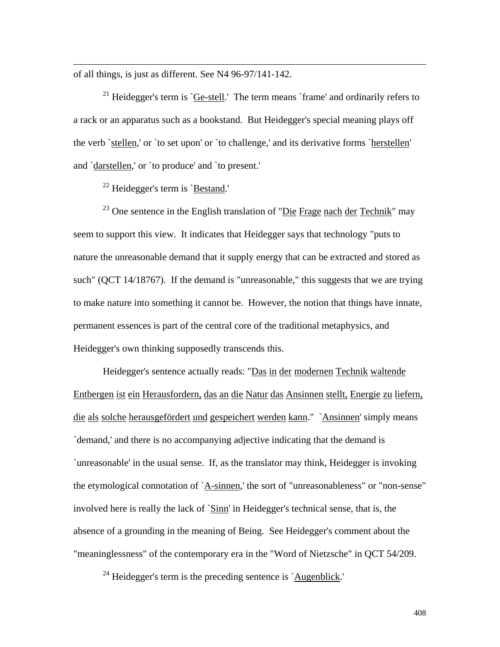of all things, is just as different. See N4 96-97/141-142.

 $\overline{a}$ 

<sup>21</sup> Heidegger's term is `Ge-stell.' The term means `frame' and ordinarily refers to a rack or an apparatus such as a bookstand. But Heidegger's special meaning plays off the verb `stellen,' or `to set upon' or `to challenge,' and its derivative forms `herstellen' and `darstellen,' or `to produce' and `to present.'

 $22$  Heidegger's term is `Bestand.'

 $23$  One sentence in the English translation of "Die Frage nach der Technik" may seem to support this view. It indicates that Heidegger says that technology "puts to nature the unreasonable demand that it supply energy that can be extracted and stored as such" (QCT 14/18767). If the demand is "unreasonable," this suggests that we are trying to make nature into something it cannot be. However, the notion that things have innate, permanent essences is part of the central core of the traditional metaphysics, and Heidegger's own thinking supposedly transcends this.

 Heidegger's sentence actually reads: "Das in der modernen Technik waltende Entbergen ist ein Herausfordern, das an die Natur das Ansinnen stellt, Energie zu liefern, die als solche herausgefördert und gespeichert werden kann." `Ansinnen' simply means `demand,' and there is no accompanying adjective indicating that the demand is `unreasonable' in the usual sense. If, as the translator may think, Heidegger is invoking the etymological connotation of `A-sinnen,' the sort of "unreasonableness" or "non-sense" involved here is really the lack of `Sinn' in Heidegger's technical sense, that is, the absence of a grounding in the meaning of Being. See Heidegger's comment about the "meaninglessness" of the contemporary era in the "Word of Nietzsche" in QCT 54/209.

 $24$  Heidegger's term is the preceding sentence is `Augenblick.'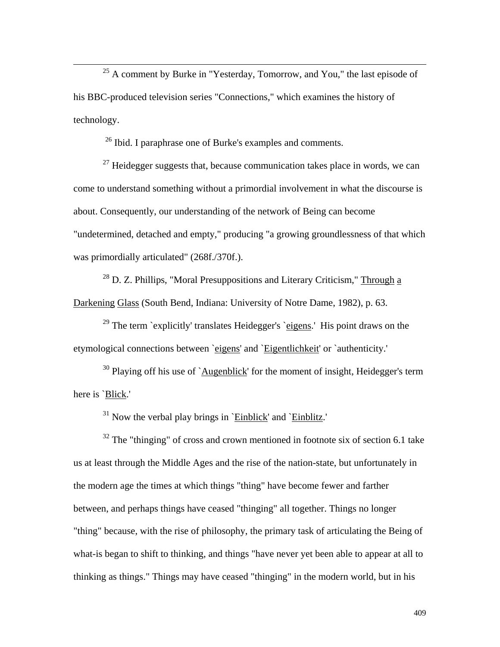$25$  A comment by Burke in "Yesterday, Tomorrow, and You," the last episode of his BBC-produced television series "Connections," which examines the history of technology.

<sup>26</sup> Ibid. I paraphrase one of Burke's examples and comments.

 $27$  Heidegger suggests that, because communication takes place in words, we can come to understand something without a primordial involvement in what the discourse is about. Consequently, our understanding of the network of Being can become "undetermined, detached and empty," producing "a growing groundlessness of that which was primordially articulated" (268f./370f.).

 $28$  D. Z. Phillips, "Moral Presuppositions and Literary Criticism," Through a Darkening Glass (South Bend, Indiana: University of Notre Dame, 1982), p. 63.

 $29$  The term `explicitly' translates Heidegger's `eigens.' His point draws on the etymological connections between `eigens' and `Eigentlichkeit' or `authenticity.'

 $30$  Playing off his use of `Augenblick' for the moment of insight, Heidegger's term here is `Blick.'

 $31$  Now the verbal play brings in `Einblick' and `Einblitz.'

 $32$  The "thinging" of cross and crown mentioned in footnote six of section 6.1 take us at least through the Middle Ages and the rise of the nation-state, but unfortunately in the modern age the times at which things "thing" have become fewer and farther between, and perhaps things have ceased "thinging" all together. Things no longer "thing" because, with the rise of philosophy, the primary task of articulating the Being of what-is began to shift to thinking, and things "have never yet been able to appear at all to thinking as things." Things may have ceased "thinging" in the modern world, but in his